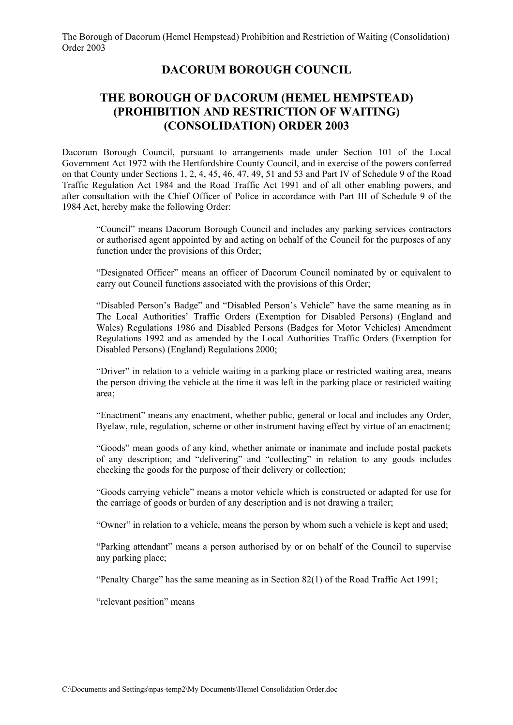### **DACORUM BOROUGH COUNCIL**

### **THE BOROUGH OF DACORUM (HEMEL HEMPSTEAD) (PROHIBITION AND RESTRICTION OF WAITING) (CONSOLIDATION) ORDER 2003**

Dacorum Borough Council, pursuant to arrangements made under Section 101 of the Local Government Act 1972 with the Hertfordshire County Council, and in exercise of the powers conferred on that County under Sections 1, 2, 4, 45, 46, 47, 49, 51 and 53 and Part IV of Schedule 9 of the Road Traffic Regulation Act 1984 and the Road Traffic Act 1991 and of all other enabling powers, and after consultation with the Chief Officer of Police in accordance with Part III of Schedule 9 of the 1984 Act, hereby make the following Order:

 "Council" means Dacorum Borough Council and includes any parking services contractors or authorised agent appointed by and acting on behalf of the Council for the purposes of any function under the provisions of this Order;

 "Designated Officer" means an officer of Dacorum Council nominated by or equivalent to carry out Council functions associated with the provisions of this Order;

 "Disabled Person's Badge" and "Disabled Person's Vehicle" have the same meaning as in The Local Authorities' Traffic Orders (Exemption for Disabled Persons) (England and Wales) Regulations 1986 and Disabled Persons (Badges for Motor Vehicles) Amendment Regulations 1992 and as amended by the Local Authorities Traffic Orders (Exemption for Disabled Persons) (England) Regulations 2000;

 "Driver" in relation to a vehicle waiting in a parking place or restricted waiting area, means the person driving the vehicle at the time it was left in the parking place or restricted waiting area;

 "Enactment" means any enactment, whether public, general or local and includes any Order, Byelaw, rule, regulation, scheme or other instrument having effect by virtue of an enactment;

 "Goods" mean goods of any kind, whether animate or inanimate and include postal packets of any description; and "delivering" and "collecting" in relation to any goods includes checking the goods for the purpose of their delivery or collection;

 "Goods carrying vehicle" means a motor vehicle which is constructed or adapted for use for the carriage of goods or burden of any description and is not drawing a trailer;

"Owner" in relation to a vehicle, means the person by whom such a vehicle is kept and used;

 "Parking attendant" means a person authorised by or on behalf of the Council to supervise any parking place;

"Penalty Charge" has the same meaning as in Section 82(1) of the Road Traffic Act 1991;

"relevant position" means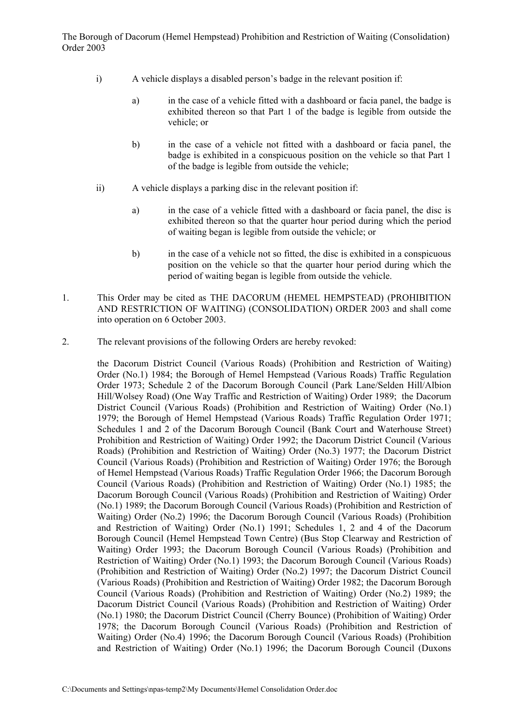- i) A vehicle displays a disabled person's badge in the relevant position if:
	- a) in the case of a vehicle fitted with a dashboard or facia panel, the badge is exhibited thereon so that Part 1 of the badge is legible from outside the vehicle; or
	- b) in the case of a vehicle not fitted with a dashboard or facia panel, the badge is exhibited in a conspicuous position on the vehicle so that Part 1 of the badge is legible from outside the vehicle;
- ii) A vehicle displays a parking disc in the relevant position if:
	- a) in the case of a vehicle fitted with a dashboard or facia panel, the disc is exhibited thereon so that the quarter hour period during which the period of waiting began is legible from outside the vehicle; or
	- b) in the case of a vehicle not so fitted, the disc is exhibited in a conspicuous position on the vehicle so that the quarter hour period during which the period of waiting began is legible from outside the vehicle.
- 1. This Order may be cited as THE DACORUM (HEMEL HEMPSTEAD) (PROHIBITION AND RESTRICTION OF WAITING) (CONSOLIDATION) ORDER 2003 and shall come into operation on 6 October 2003.
- 2. The relevant provisions of the following Orders are hereby revoked:

 the Dacorum District Council (Various Roads) (Prohibition and Restriction of Waiting) Order (No.1) 1984; the Borough of Hemel Hempstead (Various Roads) Traffic Regulation Order 1973; Schedule 2 of the Dacorum Borough Council (Park Lane/Selden Hill/Albion Hill/Wolsey Road) (One Way Traffic and Restriction of Waiting) Order 1989; the Dacorum District Council (Various Roads) (Prohibition and Restriction of Waiting) Order (No.1) 1979; the Borough of Hemel Hempstead (Various Roads) Traffic Regulation Order 1971; Schedules 1 and 2 of the Dacorum Borough Council (Bank Court and Waterhouse Street) Prohibition and Restriction of Waiting) Order 1992; the Dacorum District Council (Various Roads) (Prohibition and Restriction of Waiting) Order (No.3) 1977; the Dacorum District Council (Various Roads) (Prohibition and Restriction of Waiting) Order 1976; the Borough of Hemel Hempstead (Various Roads) Traffic Regulation Order 1966; the Dacorum Borough Council (Various Roads) (Prohibition and Restriction of Waiting) Order (No.1) 1985; the Dacorum Borough Council (Various Roads) (Prohibition and Restriction of Waiting) Order (No.1) 1989; the Dacorum Borough Council (Various Roads) (Prohibition and Restriction of Waiting) Order (No.2) 1996; the Dacorum Borough Council (Various Roads) (Prohibition and Restriction of Waiting) Order (No.1) 1991; Schedules 1, 2 and 4 of the Dacorum Borough Council (Hemel Hempstead Town Centre) (Bus Stop Clearway and Restriction of Waiting) Order 1993; the Dacorum Borough Council (Various Roads) (Prohibition and Restriction of Waiting) Order (No.1) 1993; the Dacorum Borough Council (Various Roads) (Prohibition and Restriction of Waiting) Order (No.2) 1997; the Dacorum District Council (Various Roads) (Prohibition and Restriction of Waiting) Order 1982; the Dacorum Borough Council (Various Roads) (Prohibition and Restriction of Waiting) Order (No.2) 1989; the Dacorum District Council (Various Roads) (Prohibition and Restriction of Waiting) Order (No.1) 1980; the Dacorum District Council (Cherry Bounce) (Prohibition of Waiting) Order 1978; the Dacorum Borough Council (Various Roads) (Prohibition and Restriction of Waiting) Order (No.4) 1996; the Dacorum Borough Council (Various Roads) (Prohibition and Restriction of Waiting) Order (No.1) 1996; the Dacorum Borough Council (Duxons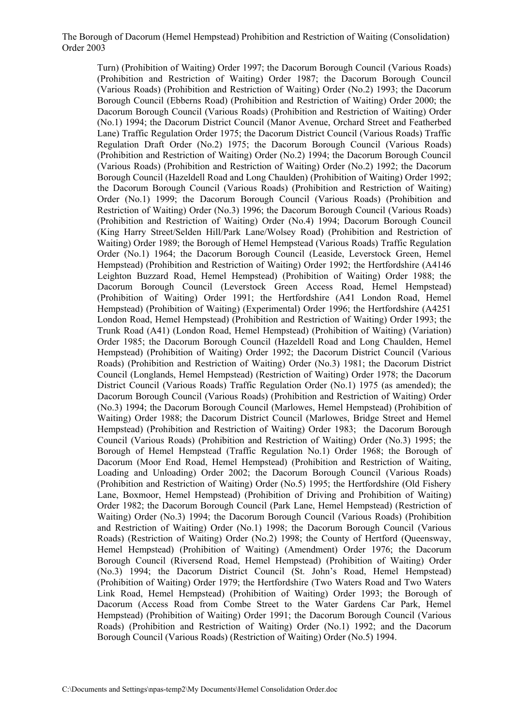Turn) (Prohibition of Waiting) Order 1997; the Dacorum Borough Council (Various Roads) (Prohibition and Restriction of Waiting) Order 1987; the Dacorum Borough Council (Various Roads) (Prohibition and Restriction of Waiting) Order (No.2) 1993; the Dacorum Borough Council (Ebberns Road) (Prohibition and Restriction of Waiting) Order 2000; the Dacorum Borough Council (Various Roads) (Prohibition and Restriction of Waiting) Order (No.1) 1994; the Dacorum District Council (Manor Avenue, Orchard Street and Featherbed Lane) Traffic Regulation Order 1975; the Dacorum District Council (Various Roads) Traffic Regulation Draft Order (No.2) 1975; the Dacorum Borough Council (Various Roads) (Prohibition and Restriction of Waiting) Order (No.2) 1994; the Dacorum Borough Council (Various Roads) (Prohibition and Restriction of Waiting) Order (No.2) 1992; the Dacorum Borough Council (Hazeldell Road and Long Chaulden) (Prohibition of Waiting) Order 1992; the Dacorum Borough Council (Various Roads) (Prohibition and Restriction of Waiting) Order (No.1) 1999; the Dacorum Borough Council (Various Roads) (Prohibition and Restriction of Waiting) Order (No.3) 1996; the Dacorum Borough Council (Various Roads) (Prohibition and Restriction of Waiting) Order (No.4) 1994; Dacorum Borough Council (King Harry Street/Selden Hill/Park Lane/Wolsey Road) (Prohibition and Restriction of Waiting) Order 1989; the Borough of Hemel Hempstead (Various Roads) Traffic Regulation Order (No.1) 1964; the Dacorum Borough Council (Leaside, Leverstock Green, Hemel Hempstead) (Prohibition and Restriction of Waiting) Order 1992; the Hertfordshire (A4146 Leighton Buzzard Road, Hemel Hempstead) (Prohibition of Waiting) Order 1988; the Dacorum Borough Council (Leverstock Green Access Road, Hemel Hempstead) (Prohibition of Waiting) Order 1991; the Hertfordshire (A41 London Road, Hemel Hempstead) (Prohibition of Waiting) (Experimental) Order 1996; the Hertfordshire (A4251 London Road, Hemel Hempstead) (Prohibition and Restriction of Waiting) Order 1993; the Trunk Road (A41) (London Road, Hemel Hempstead) (Prohibition of Waiting) (Variation) Order 1985; the Dacorum Borough Council (Hazeldell Road and Long Chaulden, Hemel Hempstead) (Prohibition of Waiting) Order 1992; the Dacorum District Council (Various Roads) (Prohibition and Restriction of Waiting) Order (No.3) 1981; the Dacorum District Council (Longlands, Hemel Hempstead) (Restriction of Waiting) Order 1978; the Dacorum District Council (Various Roads) Traffic Regulation Order (No.1) 1975 (as amended); the Dacorum Borough Council (Various Roads) (Prohibition and Restriction of Waiting) Order (No.3) 1994; the Dacorum Borough Council (Marlowes, Hemel Hempstead) (Prohibition of Waiting) Order 1988; the Dacorum District Council (Marlowes, Bridge Street and Hemel Hempstead) (Prohibition and Restriction of Waiting) Order 1983; the Dacorum Borough Council (Various Roads) (Prohibition and Restriction of Waiting) Order (No.3) 1995; the Borough of Hemel Hempstead (Traffic Regulation No.1) Order 1968; the Borough of Dacorum (Moor End Road, Hemel Hempstead) (Prohibition and Restriction of Waiting, Loading and Unloading) Order 2002; the Dacorum Borough Council (Various Roads) (Prohibition and Restriction of Waiting) Order (No.5) 1995; the Hertfordshire (Old Fishery Lane, Boxmoor, Hemel Hempstead) (Prohibition of Driving and Prohibition of Waiting) Order 1982; the Dacorum Borough Council (Park Lane, Hemel Hempstead) (Restriction of Waiting) Order (No.3) 1994; the Dacorum Borough Council (Various Roads) (Prohibition and Restriction of Waiting) Order (No.1) 1998; the Dacorum Borough Council (Various Roads) (Restriction of Waiting) Order (No.2) 1998; the County of Hertford (Queensway, Hemel Hempstead) (Prohibition of Waiting) (Amendment) Order 1976; the Dacorum Borough Council (Riversend Road, Hemel Hempstead) (Prohibition of Waiting) Order (No.3) 1994; the Dacorum District Council (St. John's Road, Hemel Hempstead) (Prohibition of Waiting) Order 1979; the Hertfordshire (Two Waters Road and Two Waters Link Road, Hemel Hempstead) (Prohibition of Waiting) Order 1993; the Borough of Dacorum (Access Road from Combe Street to the Water Gardens Car Park, Hemel Hempstead) (Prohibition of Waiting) Order 1991; the Dacorum Borough Council (Various Roads) (Prohibition and Restriction of Waiting) Order (No.1) 1992; and the Dacorum Borough Council (Various Roads) (Restriction of Waiting) Order (No.5) 1994.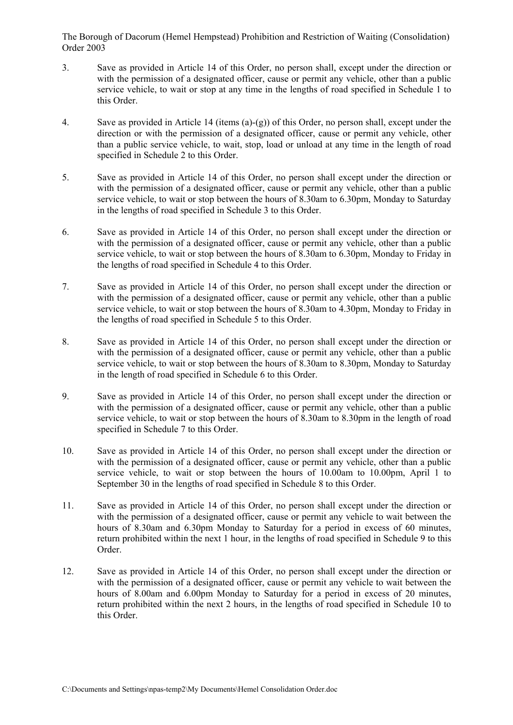- 3. Save as provided in Article 14 of this Order, no person shall, except under the direction or with the permission of a designated officer, cause or permit any vehicle, other than a public service vehicle, to wait or stop at any time in the lengths of road specified in Schedule 1 to this Order.
- 4. Save as provided in Article 14 (items (a)-(g)) of this Order, no person shall, except under the direction or with the permission of a designated officer, cause or permit any vehicle, other than a public service vehicle, to wait, stop, load or unload at any time in the length of road specified in Schedule 2 to this Order.
- 5. Save as provided in Article 14 of this Order, no person shall except under the direction or with the permission of a designated officer, cause or permit any vehicle, other than a public service vehicle, to wait or stop between the hours of 8.30am to 6.30pm, Monday to Saturday in the lengths of road specified in Schedule 3 to this Order.
- 6. Save as provided in Article 14 of this Order, no person shall except under the direction or with the permission of a designated officer, cause or permit any vehicle, other than a public service vehicle, to wait or stop between the hours of 8.30am to 6.30pm, Monday to Friday in the lengths of road specified in Schedule 4 to this Order.
- 7. Save as provided in Article 14 of this Order, no person shall except under the direction or with the permission of a designated officer, cause or permit any vehicle, other than a public service vehicle, to wait or stop between the hours of 8.30am to 4.30pm, Monday to Friday in the lengths of road specified in Schedule 5 to this Order.
- 8. Save as provided in Article 14 of this Order, no person shall except under the direction or with the permission of a designated officer, cause or permit any vehicle, other than a public service vehicle, to wait or stop between the hours of 8.30am to 8.30pm, Monday to Saturday in the length of road specified in Schedule 6 to this Order.
- 9. Save as provided in Article 14 of this Order, no person shall except under the direction or with the permission of a designated officer, cause or permit any vehicle, other than a public service vehicle, to wait or stop between the hours of 8.30am to 8.30pm in the length of road specified in Schedule 7 to this Order.
- 10. Save as provided in Article 14 of this Order, no person shall except under the direction or with the permission of a designated officer, cause or permit any vehicle, other than a public service vehicle, to wait or stop between the hours of 10.00am to 10.00pm, April 1 to September 30 in the lengths of road specified in Schedule 8 to this Order.
- 11. Save as provided in Article 14 of this Order, no person shall except under the direction or with the permission of a designated officer, cause or permit any vehicle to wait between the hours of 8.30am and 6.30pm Monday to Saturday for a period in excess of 60 minutes, return prohibited within the next 1 hour, in the lengths of road specified in Schedule 9 to this Order.
- 12. Save as provided in Article 14 of this Order, no person shall except under the direction or with the permission of a designated officer, cause or permit any vehicle to wait between the hours of 8.00am and 6.00pm Monday to Saturday for a period in excess of 20 minutes, return prohibited within the next 2 hours, in the lengths of road specified in Schedule 10 to this Order.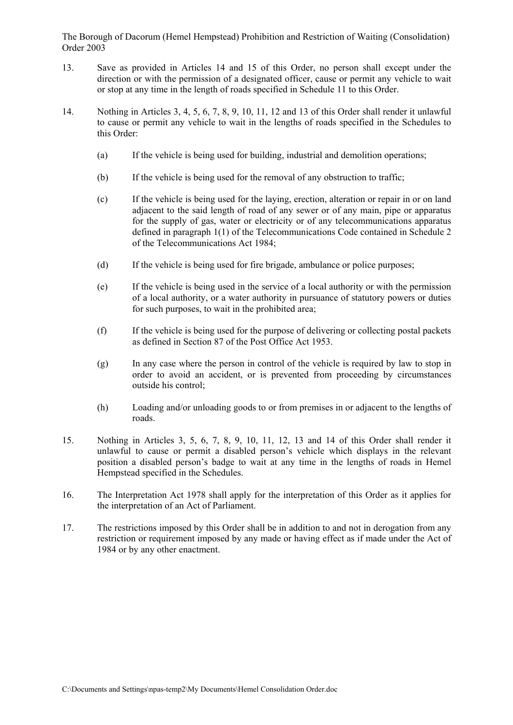- 13. Save as provided in Articles 14 and 15 of this Order, no person shall except under the direction or with the permission of a designated officer, cause or permit any vehicle to wait or stop at any time in the length of roads specified in Schedule 11 to this Order.
- 14. Nothing in Articles 3, 4, 5, 6, 7, 8, 9, 10, 11, 12 and 13 of this Order shall render it unlawful to cause or permit any vehicle to wait in the lengths of roads specified in the Schedules to this Order:
	- (a) If the vehicle is being used for building, industrial and demolition operations;
	- (b) If the vehicle is being used for the removal of any obstruction to traffic;
	- (c) If the vehicle is being used for the laying, erection, alteration or repair in or on land adjacent to the said length of road of any sewer or of any main, pipe or apparatus for the supply of gas, water or electricity or of any telecommunications apparatus defined in paragraph 1(1) of the Telecommunications Code contained in Schedule 2 of the Telecommunications Act 1984;
	- (d) If the vehicle is being used for fire brigade, ambulance or police purposes;
	- (e) If the vehicle is being used in the service of a local authority or with the permission of a local authority, or a water authority in pursuance of statutory powers or duties for such purposes, to wait in the prohibited area;
	- (f) If the vehicle is being used for the purpose of delivering or collecting postal packets as defined in Section 87 of the Post Office Act 1953.
	- (g) In any case where the person in control of the vehicle is required by law to stop in order to avoid an accident, or is prevented from proceeding by circumstances outside his control;
	- (h) Loading and/or unloading goods to or from premises in or adjacent to the lengths of roads.
- 15. Nothing in Articles 3, 5, 6, 7, 8, 9, 10, 11, 12, 13 and 14 of this Order shall render it unlawful to cause or permit a disabled person's vehicle which displays in the relevant position a disabled person's badge to wait at any time in the lengths of roads in Hemel Hempstead specified in the Schedules.
- 16. The Interpretation Act 1978 shall apply for the interpretation of this Order as it applies for the interpretation of an Act of Parliament.
- 17. The restrictions imposed by this Order shall be in addition to and not in derogation from any restriction or requirement imposed by any made or having effect as if made under the Act of 1984 or by any other enactment.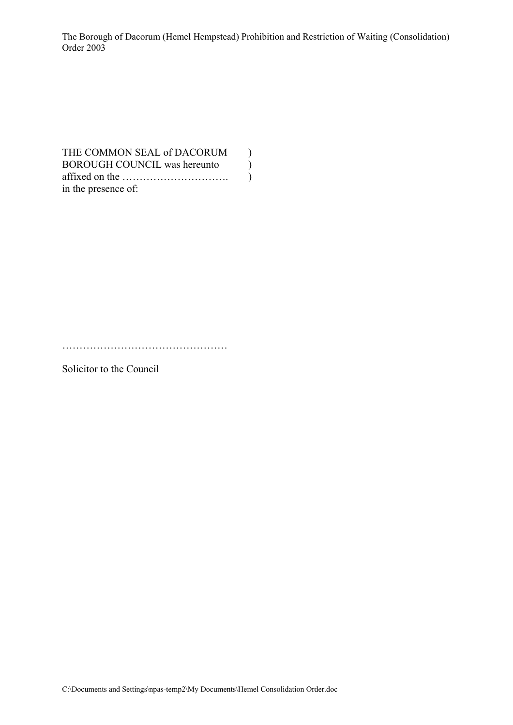THE COMMON SEAL of DACORUM  $)$ BOROUGH COUNCIL was hereunto  $)$ affixed on the …………………………. ) in the presence of:

…………………………………………

Solicitor to the Council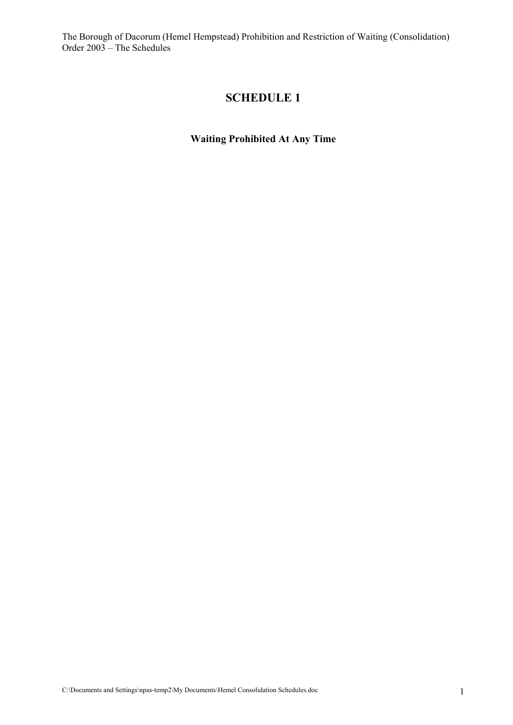# **SCHEDULE 1**

**Waiting Prohibited At Any Time**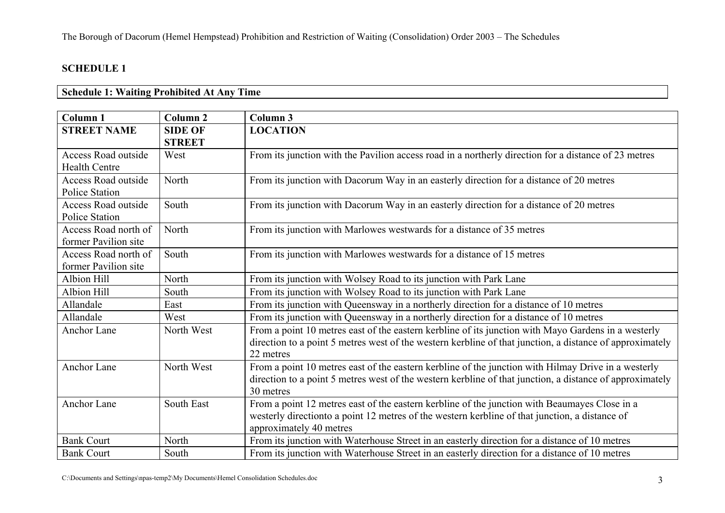#### **Schedule 1: Waiting Prohibited At Any Time**

| Column <sub>1</sub>                                | Column <sub>2</sub>             | Column 3                                                                                                                                                                                                                     |
|----------------------------------------------------|---------------------------------|------------------------------------------------------------------------------------------------------------------------------------------------------------------------------------------------------------------------------|
| <b>STREET NAME</b>                                 | <b>SIDE OF</b><br><b>STREET</b> | <b>LOCATION</b>                                                                                                                                                                                                              |
| <b>Access Road outside</b><br><b>Health Centre</b> | West                            | From its junction with the Pavilion access road in a northerly direction for a distance of 23 metres                                                                                                                         |
| Access Road outside<br><b>Police Station</b>       | North                           | From its junction with Dacorum Way in an easterly direction for a distance of 20 metres                                                                                                                                      |
| Access Road outside<br><b>Police Station</b>       | South                           | From its junction with Dacorum Way in an easterly direction for a distance of 20 metres                                                                                                                                      |
| Access Road north of<br>former Pavilion site       | North                           | From its junction with Marlowes westwards for a distance of 35 metres                                                                                                                                                        |
| Access Road north of<br>former Pavilion site       | South                           | From its junction with Marlowes westwards for a distance of 15 metres                                                                                                                                                        |
| Albion Hill                                        | North                           | From its junction with Wolsey Road to its junction with Park Lane                                                                                                                                                            |
| Albion Hill                                        | South                           | From its junction with Wolsey Road to its junction with Park Lane                                                                                                                                                            |
| Allandale                                          | East                            | From its junction with Queensway in a northerly direction for a distance of 10 metres                                                                                                                                        |
| Allandale                                          | West                            | From its junction with Queensway in a northerly direction for a distance of 10 metres                                                                                                                                        |
| <b>Anchor Lane</b>                                 | North West                      | From a point 10 metres east of the eastern kerbline of its junction with Mayo Gardens in a westerly<br>direction to a point 5 metres west of the western kerbline of that junction, a distance of approximately<br>22 metres |
| <b>Anchor Lane</b>                                 | North West                      | From a point 10 metres east of the eastern kerbline of the junction with Hilmay Drive in a westerly<br>direction to a point 5 metres west of the western kerbline of that junction, a distance of approximately<br>30 metres |
| <b>Anchor Lane</b>                                 | South East                      | From a point 12 metres east of the eastern kerbline of the junction with Beaumayes Close in a<br>westerly direction to a point 12 metres of the western kerbline of that junction, a distance of<br>approximately 40 metres  |
| <b>Bank Court</b>                                  | North                           | From its junction with Waterhouse Street in an easterly direction for a distance of 10 metres                                                                                                                                |
| <b>Bank Court</b>                                  | South                           | From its junction with Waterhouse Street in an easterly direction for a distance of 10 metres                                                                                                                                |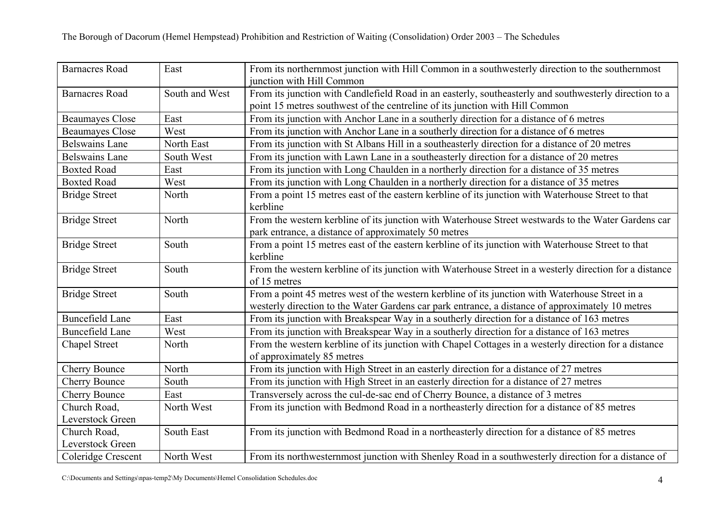| <b>Barnacres Road</b>            | East           | From its northernmost junction with Hill Common in a southwesterly direction to the southernmost<br>junction with Hill Common                                                                       |
|----------------------------------|----------------|-----------------------------------------------------------------------------------------------------------------------------------------------------------------------------------------------------|
| <b>Barnacres Road</b>            | South and West | From its junction with Candlefield Road in an easterly, southeasterly and southwesterly direction to a<br>point 15 metres southwest of the centreline of its junction with Hill Common              |
| <b>Beaumayes Close</b>           | East           | From its junction with Anchor Lane in a southerly direction for a distance of 6 metres                                                                                                              |
| <b>Beaumayes Close</b>           | West           | From its junction with Anchor Lane in a southerly direction for a distance of 6 metres                                                                                                              |
| <b>Belswains Lane</b>            | North East     | From its junction with St Albans Hill in a southeasterly direction for a distance of 20 metres                                                                                                      |
| <b>Belswains Lane</b>            | South West     | From its junction with Lawn Lane in a southeasterly direction for a distance of 20 metres                                                                                                           |
| <b>Boxted Road</b>               | East           | From its junction with Long Chaulden in a northerly direction for a distance of 35 metres                                                                                                           |
| <b>Boxted Road</b>               | West           | From its junction with Long Chaulden in a northerly direction for a distance of 35 metres                                                                                                           |
| <b>Bridge Street</b>             | North          | From a point 15 metres east of the eastern kerbline of its junction with Waterhouse Street to that<br>kerbline                                                                                      |
| <b>Bridge Street</b>             | North          | From the western kerbline of its junction with Waterhouse Street westwards to the Water Gardens car<br>park entrance, a distance of approximately 50 metres                                         |
| <b>Bridge Street</b>             | South          | From a point 15 metres east of the eastern kerbline of its junction with Waterhouse Street to that<br>kerbline                                                                                      |
| <b>Bridge Street</b>             | South          | From the western kerbline of its junction with Waterhouse Street in a westerly direction for a distance<br>of 15 metres                                                                             |
| <b>Bridge Street</b>             | South          | From a point 45 metres west of the western kerbline of its junction with Waterhouse Street in a<br>westerly direction to the Water Gardens car park entrance, a distance of approximately 10 metres |
| <b>Buncefield Lane</b>           | East           | From its junction with Breakspear Way in a southerly direction for a distance of 163 metres                                                                                                         |
| <b>Buncefield Lane</b>           | West           | From its junction with Breakspear Way in a southerly direction for a distance of 163 metres                                                                                                         |
| <b>Chapel Street</b>             | North          | From the western kerbline of its junction with Chapel Cottages in a westerly direction for a distance<br>of approximately 85 metres                                                                 |
| <b>Cherry Bounce</b>             | North          | From its junction with High Street in an easterly direction for a distance of 27 metres                                                                                                             |
| <b>Cherry Bounce</b>             | South          | From its junction with High Street in an easterly direction for a distance of 27 metres                                                                                                             |
| <b>Cherry Bounce</b>             | East           | Transversely across the cul-de-sac end of Cherry Bounce, a distance of 3 metres                                                                                                                     |
| Church Road,                     | North West     | From its junction with Bedmond Road in a northeasterly direction for a distance of 85 metres                                                                                                        |
| Leverstock Green                 |                |                                                                                                                                                                                                     |
| Church Road,<br>Leverstock Green | South East     | From its junction with Bedmond Road in a northeasterly direction for a distance of 85 metres                                                                                                        |
| Coleridge Crescent               | North West     | From its northwesternmost junction with Shenley Road in a southwesterly direction for a distance of                                                                                                 |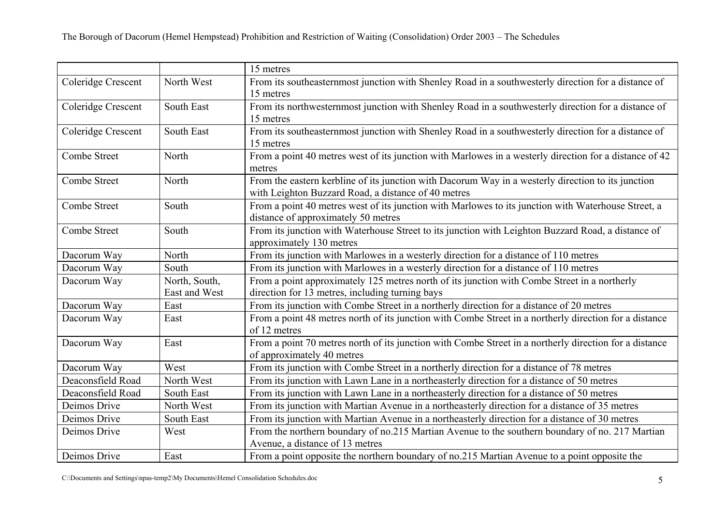|                    |                                | 15 metres                                                                                                                                                 |
|--------------------|--------------------------------|-----------------------------------------------------------------------------------------------------------------------------------------------------------|
| Coleridge Crescent | North West                     | From its southeasternmost junction with Shenley Road in a southwesterly direction for a distance of<br>15 metres                                          |
| Coleridge Crescent | South East                     | From its northwesternmost junction with Shenley Road in a southwesterly direction for a distance of<br>15 metres                                          |
| Coleridge Crescent | South East                     | From its southeasternmost junction with Shenley Road in a southwesterly direction for a distance of<br>15 metres                                          |
| Combe Street       | North                          | From a point 40 metres west of its junction with Marlowes in a westerly direction for a distance of 42<br>metres                                          |
| Combe Street       | North                          | From the eastern kerbline of its junction with Dacorum Way in a westerly direction to its junction<br>with Leighton Buzzard Road, a distance of 40 metres |
| Combe Street       | South                          | From a point 40 metres west of its junction with Marlowes to its junction with Waterhouse Street, a<br>distance of approximately 50 metres                |
| Combe Street       | South                          | From its junction with Waterhouse Street to its junction with Leighton Buzzard Road, a distance of<br>approximately 130 metres                            |
| Dacorum Way        | North                          | From its junction with Marlowes in a westerly direction for a distance of 110 metres                                                                      |
| Dacorum Way        | South                          | From its junction with Marlowes in a westerly direction for a distance of 110 metres                                                                      |
| Dacorum Way        | North, South,<br>East and West | From a point approximately 125 metres north of its junction with Combe Street in a northerly<br>direction for 13 metres, including turning bays           |
| Dacorum Way        | East                           | From its junction with Combe Street in a northerly direction for a distance of 20 metres                                                                  |
| Dacorum Way        | East                           | From a point 48 metres north of its junction with Combe Street in a northerly direction for a distance<br>of 12 metres                                    |
| Dacorum Way        | East                           | From a point 70 metres north of its junction with Combe Street in a northerly direction for a distance<br>of approximately 40 metres                      |
| Dacorum Way        | West                           | From its junction with Combe Street in a northerly direction for a distance of 78 metres                                                                  |
| Deaconsfield Road  | North West                     | From its junction with Lawn Lane in a northeasterly direction for a distance of 50 metres                                                                 |
| Deaconsfield Road  | South East                     | From its junction with Lawn Lane in a northeasterly direction for a distance of 50 metres                                                                 |
| Deimos Drive       | North West                     | From its junction with Martian Avenue in a northeasterly direction for a distance of 35 metres                                                            |
| Deimos Drive       | South East                     | From its junction with Martian Avenue in a northeasterly direction for a distance of 30 metres                                                            |
| Deimos Drive       | West                           | From the northern boundary of no.215 Martian Avenue to the southern boundary of no. 217 Martian<br>Avenue, a distance of 13 metres                        |
| Deimos Drive       | East                           | From a point opposite the northern boundary of no.215 Martian Avenue to a point opposite the                                                              |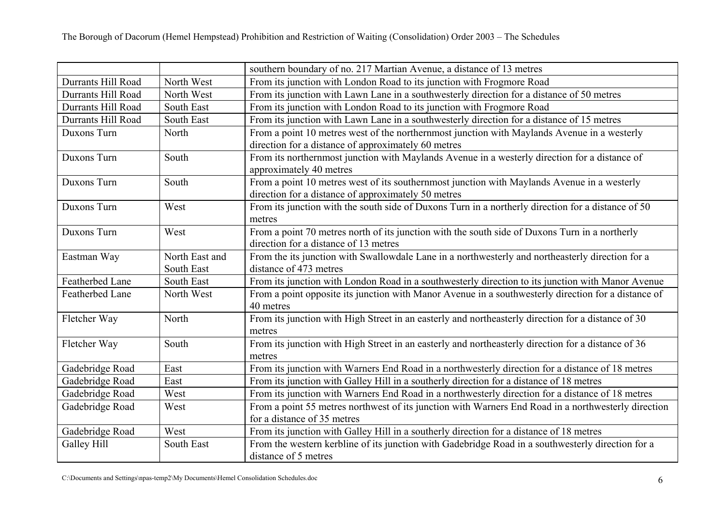|                    |                | southern boundary of no. 217 Martian Avenue, a distance of 13 metres                                |
|--------------------|----------------|-----------------------------------------------------------------------------------------------------|
| Durrants Hill Road | North West     | From its junction with London Road to its junction with Frogmore Road                               |
| Durrants Hill Road | North West     | From its junction with Lawn Lane in a southwesterly direction for a distance of 50 metres           |
| Durrants Hill Road | South East     | From its junction with London Road to its junction with Frogmore Road                               |
| Durrants Hill Road | South East     | From its junction with Lawn Lane in a southwesterly direction for a distance of 15 metres           |
| Duxons Turn        | North          | From a point 10 metres west of the northernmost junction with Maylands Avenue in a westerly         |
|                    |                | direction for a distance of approximately 60 metres                                                 |
| Duxons Turn        | South          | From its northernmost junction with Maylands Avenue in a westerly direction for a distance of       |
|                    |                | approximately 40 metres                                                                             |
| Duxons Turn        | South          | From a point 10 metres west of its southernmost junction with Maylands Avenue in a westerly         |
|                    |                | direction for a distance of approximately 50 metres                                                 |
| Duxons Turn        | West           | From its junction with the south side of Duxons Turn in a northerly direction for a distance of 50  |
|                    |                | metres                                                                                              |
| Duxons Turn        | West           | From a point 70 metres north of its junction with the south side of Duxons Turn in a northerly      |
|                    |                | direction for a distance of 13 metres                                                               |
| Eastman Way        | North East and | From the its junction with Swallowdale Lane in a northwesterly and northeasterly direction for a    |
|                    | South East     | distance of 473 metres                                                                              |
| Featherbed Lane    | South East     | From its junction with London Road in a southwesterly direction to its junction with Manor Avenue   |
| Featherbed Lane    | North West     | From a point opposite its junction with Manor Avenue in a southwesterly direction for a distance of |
|                    |                | 40 metres                                                                                           |
| Fletcher Way       | North          | From its junction with High Street in an easterly and northeasterly direction for a distance of 30  |
|                    |                | metres                                                                                              |
| Fletcher Way       | South          | From its junction with High Street in an easterly and northeasterly direction for a distance of 36  |
|                    |                | metres                                                                                              |
| Gadebridge Road    | East           | From its junction with Warners End Road in a northwesterly direction for a distance of 18 metres    |
| Gadebridge Road    | East           | From its junction with Galley Hill in a southerly direction for a distance of 18 metres             |
| Gadebridge Road    | West           | From its junction with Warners End Road in a northwesterly direction for a distance of 18 metres    |
| Gadebridge Road    | West           | From a point 55 metres northwest of its junction with Warners End Road in a northwesterly direction |
|                    |                | for a distance of 35 metres                                                                         |
| Gadebridge Road    | West           | From its junction with Galley Hill in a southerly direction for a distance of 18 metres             |
| Galley Hill        | South East     | From the western kerbline of its junction with Gadebridge Road in a southwesterly direction for a   |
|                    |                | distance of 5 metres                                                                                |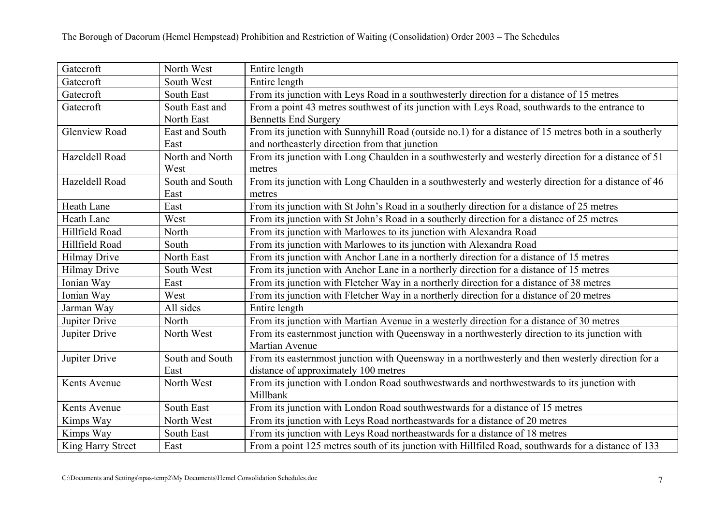| Gatecroft            | North West      | Entire length                                                                                        |
|----------------------|-----------------|------------------------------------------------------------------------------------------------------|
| Gatecroft            | South West      | Entire length                                                                                        |
| Gatecroft            | South East      | From its junction with Leys Road in a southwesterly direction for a distance of 15 metres            |
| Gatecroft            | South East and  | From a point 43 metres southwest of its junction with Leys Road, southwards to the entrance to       |
|                      | North East      | <b>Bennetts End Surgery</b>                                                                          |
| <b>Glenview Road</b> | East and South  | From its junction with Sunnyhill Road (outside no.1) for a distance of 15 metres both in a southerly |
|                      | East            | and northeasterly direction from that junction                                                       |
| Hazeldell Road       | North and North | From its junction with Long Chaulden in a southwesterly and westerly direction for a distance of 51  |
|                      | West            | metres                                                                                               |
| Hazeldell Road       | South and South | From its junction with Long Chaulden in a southwesterly and westerly direction for a distance of 46  |
|                      | East            | metres                                                                                               |
| Heath Lane           | East            | From its junction with St John's Road in a southerly direction for a distance of 25 metres           |
| <b>Heath Lane</b>    | West            | From its junction with St John's Road in a southerly direction for a distance of 25 metres           |
| Hillfield Road       | North           | From its junction with Marlowes to its junction with Alexandra Road                                  |
| Hillfield Road       | South           | From its junction with Marlowes to its junction with Alexandra Road                                  |
| <b>Hilmay Drive</b>  | North East      | From its junction with Anchor Lane in a northerly direction for a distance of 15 metres              |
| <b>Hilmay Drive</b>  | South West      | From its junction with Anchor Lane in a northerly direction for a distance of 15 metres              |
| Ionian Way           | East            | From its junction with Fletcher Way in a northerly direction for a distance of 38 metres             |
| Ionian Way           | West            | From its junction with Fletcher Way in a northerly direction for a distance of 20 metres             |
| Jarman Way           | All sides       | Entire length                                                                                        |
| Jupiter Drive        | North           | From its junction with Martian Avenue in a westerly direction for a distance of 30 metres            |
| Jupiter Drive        | North West      | From its easternmost junction with Queensway in a northwesterly direction to its junction with       |
|                      |                 | Martian Avenue                                                                                       |
| Jupiter Drive        | South and South | From its easternmost junction with Queensway in a northwesterly and then westerly direction for a    |
|                      | East            | distance of approximately 100 metres                                                                 |
| Kents Avenue         | North West      | From its junction with London Road southwestwards and northwestwards to its junction with            |
|                      |                 | Millbank                                                                                             |
| Kents Avenue         | South East      | From its junction with London Road southwestwards for a distance of 15 metres                        |
| Kimps Way            | North West      | From its junction with Leys Road northeastwards for a distance of 20 metres                          |
| Kimps Way            | South East      | From its junction with Leys Road northeastwards for a distance of 18 metres                          |
| King Harry Street    | East            | From a point 125 metres south of its junction with Hillfiled Road, southwards for a distance of 133  |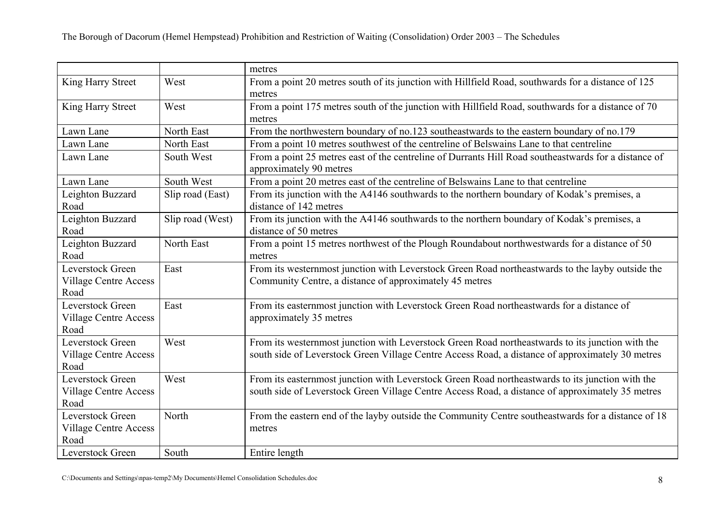|                                                          |                  | metres                                                                                                                                                                                               |
|----------------------------------------------------------|------------------|------------------------------------------------------------------------------------------------------------------------------------------------------------------------------------------------------|
| King Harry Street                                        | West             | From a point 20 metres south of its junction with Hillfield Road, southwards for a distance of 125<br>metres                                                                                         |
| King Harry Street                                        | West             | From a point 175 metres south of the junction with Hillfield Road, southwards for a distance of 70<br>metres                                                                                         |
| Lawn Lane                                                | North East       | From the northwestern boundary of no.123 southeastwards to the eastern boundary of no.179                                                                                                            |
| Lawn Lane                                                | North East       | From a point 10 metres southwest of the centreline of Belswains Lane to that centreline                                                                                                              |
| Lawn Lane                                                | South West       | From a point 25 metres east of the centreline of Durrants Hill Road southeastwards for a distance of<br>approximately 90 metres                                                                      |
| Lawn Lane                                                | South West       | From a point 20 metres east of the centreline of Belswains Lane to that centreline                                                                                                                   |
| Leighton Buzzard<br>Road                                 | Slip road (East) | From its junction with the A4146 southwards to the northern boundary of Kodak's premises, a<br>distance of 142 metres                                                                                |
| Leighton Buzzard<br>Road                                 | Slip road (West) | From its junction with the A4146 southwards to the northern boundary of Kodak's premises, a<br>distance of 50 metres                                                                                 |
| Leighton Buzzard<br>Road                                 | North East       | From a point 15 metres northwest of the Plough Roundabout northwestwards for a distance of 50<br>metres                                                                                              |
| Leverstock Green<br><b>Village Centre Access</b><br>Road | East             | From its westernmost junction with Leverstock Green Road northeastwards to the layby outside the<br>Community Centre, a distance of approximately 45 metres                                          |
| Leverstock Green<br><b>Village Centre Access</b><br>Road | East             | From its easternmost junction with Leverstock Green Road northeastwards for a distance of<br>approximately 35 metres                                                                                 |
| Leverstock Green<br><b>Village Centre Access</b><br>Road | West             | From its westernmost junction with Leverstock Green Road northeastwards to its junction with the<br>south side of Leverstock Green Village Centre Access Road, a distance of approximately 30 metres |
| Leverstock Green<br><b>Village Centre Access</b><br>Road | West             | From its easternmost junction with Leverstock Green Road northeastwards to its junction with the<br>south side of Leverstock Green Village Centre Access Road, a distance of approximately 35 metres |
| Leverstock Green<br><b>Village Centre Access</b><br>Road | North            | From the eastern end of the layby outside the Community Centre southeastwards for a distance of 18<br>metres                                                                                         |
| Leverstock Green                                         | South            | Entire length                                                                                                                                                                                        |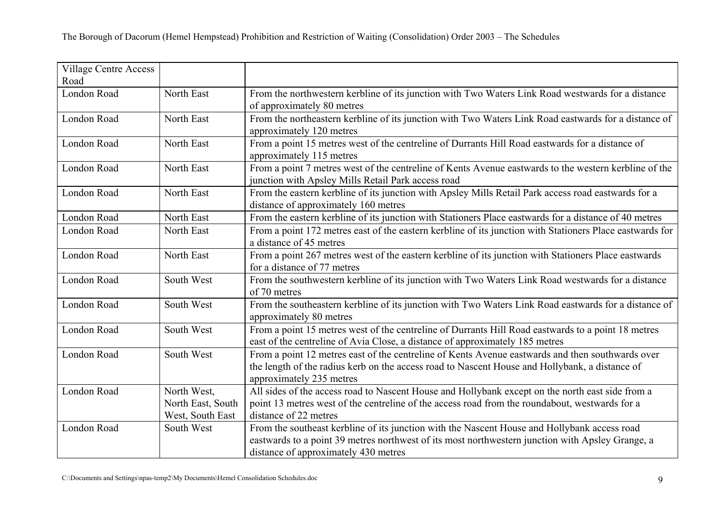| <b>Village Centre Access</b> |                   |                                                                                                          |
|------------------------------|-------------------|----------------------------------------------------------------------------------------------------------|
| Road                         |                   |                                                                                                          |
| London Road                  | North East        | From the northwestern kerbline of its junction with Two Waters Link Road westwards for a distance        |
|                              |                   | of approximately 80 metres                                                                               |
| London Road                  | North East        | From the northeastern kerbline of its junction with Two Waters Link Road eastwards for a distance of     |
|                              |                   | approximately 120 metres                                                                                 |
| London Road                  | North East        | From a point 15 metres west of the centreline of Durrants Hill Road eastwards for a distance of          |
|                              |                   | approximately 115 metres                                                                                 |
| London Road                  | North East        | From a point 7 metres west of the centreline of Kents Avenue eastwards to the western kerbline of the    |
|                              |                   | junction with Apsley Mills Retail Park access road                                                       |
| London Road                  | North East        | From the eastern kerbline of its junction with Apsley Mills Retail Park access road eastwards for a      |
|                              |                   | distance of approximately 160 metres                                                                     |
| London Road                  | North East        | From the eastern kerbline of its junction with Stationers Place eastwards for a distance of 40 metres    |
| London Road                  | North East        | From a point 172 metres east of the eastern kerbline of its junction with Stationers Place eastwards for |
|                              |                   | a distance of 45 metres                                                                                  |
| London Road                  | North East        | From a point 267 metres west of the eastern kerbline of its junction with Stationers Place eastwards     |
|                              |                   | for a distance of 77 metres                                                                              |
| London Road                  | South West        | From the southwestern kerbline of its junction with Two Waters Link Road westwards for a distance        |
|                              |                   | of 70 metres                                                                                             |
| London Road                  | South West        | From the southeastern kerbline of its junction with Two Waters Link Road eastwards for a distance of     |
|                              |                   | approximately 80 metres                                                                                  |
| London Road                  | South West        | From a point 15 metres west of the centreline of Durrants Hill Road eastwards to a point 18 metres       |
|                              |                   | east of the centreline of Avia Close, a distance of approximately 185 metres                             |
| London Road                  | South West        | From a point 12 metres east of the centreline of Kents Avenue eastwards and then southwards over         |
|                              |                   | the length of the radius kerb on the access road to Nascent House and Hollybank, a distance of           |
|                              |                   | approximately 235 metres                                                                                 |
| London Road                  | North West,       | All sides of the access road to Nascent House and Hollybank except on the north east side from a         |
|                              | North East, South | point 13 metres west of the centreline of the access road from the roundabout, westwards for a           |
|                              | West, South East  | distance of 22 metres                                                                                    |
| London Road                  | South West        | From the southeast kerbline of its junction with the Nascent House and Hollybank access road             |
|                              |                   | eastwards to a point 39 metres northwest of its most northwestern junction with Apsley Grange, a         |
|                              |                   | distance of approximately 430 metres                                                                     |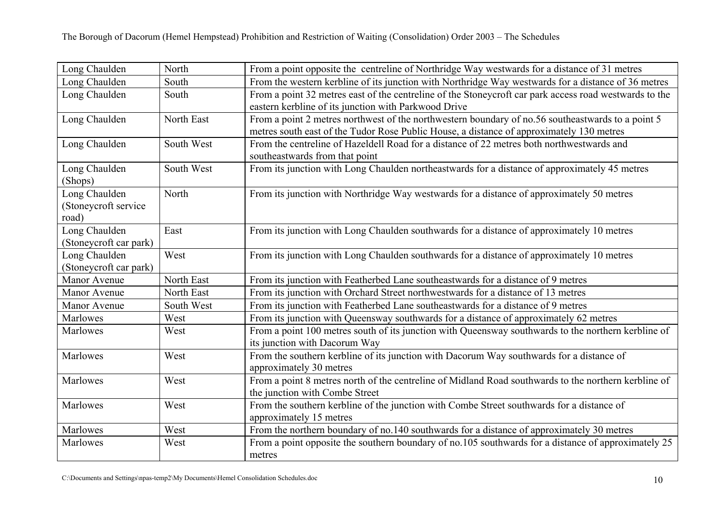| Long Chaulden          | North      | From a point opposite the centreline of Northridge Way westwards for a distance of 31 metres           |
|------------------------|------------|--------------------------------------------------------------------------------------------------------|
| Long Chaulden          | South      | From the western kerbline of its junction with Northridge Way westwards for a distance of 36 metres    |
| Long Chaulden          | South      | From a point 32 metres east of the centreline of the Stoneycroft car park access road westwards to the |
|                        |            | eastern kerbline of its junction with Parkwood Drive                                                   |
| Long Chaulden          | North East | From a point 2 metres northwest of the northwestern boundary of no.56 southeastwards to a point 5      |
|                        |            | metres south east of the Tudor Rose Public House, a distance of approximately 130 metres               |
| Long Chaulden          | South West | From the centreline of Hazeldell Road for a distance of 22 metres both northwestwards and              |
|                        |            | southeastwards from that point                                                                         |
| Long Chaulden          | South West | From its junction with Long Chaulden northeastwards for a distance of approximately 45 metres          |
| (Shops)                |            |                                                                                                        |
| Long Chaulden          | North      | From its junction with Northridge Way westwards for a distance of approximately 50 metres              |
| (Stoneycroft service)  |            |                                                                                                        |
| road)                  |            |                                                                                                        |
| Long Chaulden          | East       | From its junction with Long Chaulden southwards for a distance of approximately 10 metres              |
| (Stoneycroft car park) |            |                                                                                                        |
| Long Chaulden          | West       | From its junction with Long Chaulden southwards for a distance of approximately 10 metres              |
| (Stoneycroft car park) |            |                                                                                                        |
| Manor Avenue           | North East | From its junction with Featherbed Lane southeastwards for a distance of 9 metres                       |
| Manor Avenue           | North East | From its junction with Orchard Street northwestwards for a distance of 13 metres                       |
| Manor Avenue           | South West | From its junction with Featherbed Lane southeastwards for a distance of 9 metres                       |
| Marlowes               | West       | From its junction with Queensway southwards for a distance of approximately 62 metres                  |
| Marlowes               | West       | From a point 100 metres south of its junction with Queensway southwards to the northern kerbline of    |
|                        |            | its junction with Dacorum Way                                                                          |
| Marlowes               | West       | From the southern kerbline of its junction with Dacorum Way southwards for a distance of               |
|                        |            | approximately 30 metres                                                                                |
| Marlowes               | West       | From a point 8 metres north of the centreline of Midland Road southwards to the northern kerbline of   |
|                        |            | the junction with Combe Street                                                                         |
| Marlowes               | West       | From the southern kerbline of the junction with Combe Street southwards for a distance of              |
|                        |            | approximately 15 metres                                                                                |
| Marlowes               | West       | From the northern boundary of no.140 southwards for a distance of approximately 30 metres              |
| Marlowes               | West       | From a point opposite the southern boundary of no.105 southwards for a distance of approximately 25    |
|                        |            | metres                                                                                                 |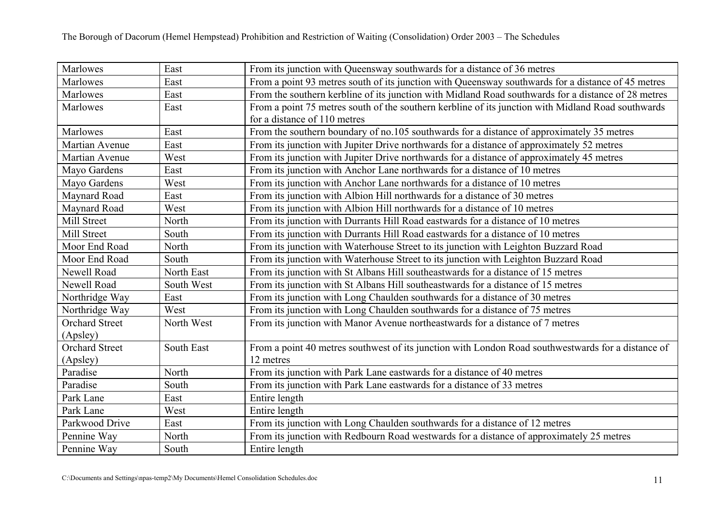| Marlowes              | East       | From its junction with Queensway southwards for a distance of 36 metres                             |
|-----------------------|------------|-----------------------------------------------------------------------------------------------------|
| Marlowes              | East       | From a point 93 metres south of its junction with Queensway southwards for a distance of 45 metres  |
| Marlowes              | East       | From the southern kerbline of its junction with Midland Road southwards for a distance of 28 metres |
| Marlowes              | East       | From a point 75 metres south of the southern kerbline of its junction with Midland Road southwards  |
|                       |            | for a distance of 110 metres                                                                        |
| Marlowes              | East       | From the southern boundary of no.105 southwards for a distance of approximately 35 metres           |
| Martian Avenue        | East       | From its junction with Jupiter Drive northwards for a distance of approximately 52 metres           |
| Martian Avenue        | West       | From its junction with Jupiter Drive northwards for a distance of approximately 45 metres           |
| Mayo Gardens          | East       | From its junction with Anchor Lane northwards for a distance of 10 metres                           |
| Mayo Gardens          | West       | From its junction with Anchor Lane northwards for a distance of 10 metres                           |
| Maynard Road          | East       | From its junction with Albion Hill northwards for a distance of 30 metres                           |
| Maynard Road          | West       | From its junction with Albion Hill northwards for a distance of 10 metres                           |
| Mill Street           | North      | From its junction with Durrants Hill Road eastwards for a distance of 10 metres                     |
| Mill Street           | South      | From its junction with Durrants Hill Road eastwards for a distance of 10 metres                     |
| Moor End Road         | North      | From its junction with Waterhouse Street to its junction with Leighton Buzzard Road                 |
| Moor End Road         | South      | From its junction with Waterhouse Street to its junction with Leighton Buzzard Road                 |
| Newell Road           | North East | From its junction with St Albans Hill southeastwards for a distance of 15 metres                    |
| Newell Road           | South West | From its junction with St Albans Hill southeastwards for a distance of 15 metres                    |
| Northridge Way        | East       | From its junction with Long Chaulden southwards for a distance of 30 metres                         |
| Northridge Way        | West       | From its junction with Long Chaulden southwards for a distance of 75 metres                         |
| <b>Orchard Street</b> | North West | From its junction with Manor Avenue northeastwards for a distance of 7 metres                       |
| (Apsley)              |            |                                                                                                     |
| <b>Orchard Street</b> | South East | From a point 40 metres southwest of its junction with London Road southwestwards for a distance of  |
| (Apsley)              |            | 12 metres                                                                                           |
| Paradise              | North      | From its junction with Park Lane eastwards for a distance of 40 metres                              |
| Paradise              | South      | From its junction with Park Lane eastwards for a distance of 33 metres                              |
| Park Lane             | East       | Entire length                                                                                       |
| Park Lane             | West       | Entire length                                                                                       |
| Parkwood Drive        | East       | From its junction with Long Chaulden southwards for a distance of 12 metres                         |
| Pennine Way           | North      | From its junction with Redbourn Road westwards for a distance of approximately 25 metres            |
| Pennine Way           | South      | Entire length                                                                                       |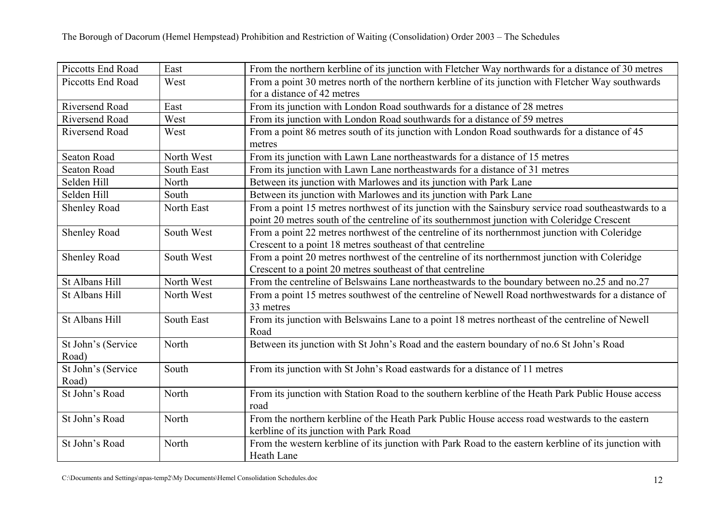| Piccotts End Road           | East       | From the northern kerbline of its junction with Fletcher Way northwards for a distance of 30 metres             |
|-----------------------------|------------|-----------------------------------------------------------------------------------------------------------------|
| Piccotts End Road           | West       | From a point 30 metres north of the northern kerbline of its junction with Fletcher Way southwards              |
|                             |            | for a distance of 42 metres                                                                                     |
| Riversend Road              | East       | From its junction with London Road southwards for a distance of 28 metres                                       |
| <b>Riversend Road</b>       | West       | From its junction with London Road southwards for a distance of 59 metres                                       |
| Riversend Road              | West       | From a point 86 metres south of its junction with London Road southwards for a distance of 45                   |
|                             |            | metres                                                                                                          |
| <b>Seaton Road</b>          | North West | From its junction with Lawn Lane northeastwards for a distance of 15 metres                                     |
| <b>Seaton Road</b>          | South East | From its junction with Lawn Lane northeastwards for a distance of 31 metres                                     |
| Selden Hill                 | North      | Between its junction with Marlowes and its junction with Park Lane                                              |
| Selden Hill                 | South      | Between its junction with Marlowes and its junction with Park Lane                                              |
| <b>Shenley Road</b>         | North East | From a point 15 metres northwest of its junction with the Sainsbury service road southeastwards to a            |
|                             |            | point 20 metres south of the centreline of its southernmost junction with Coleridge Crescent                    |
| Shenley Road                | South West | From a point 22 metres northwest of the centreline of its northernmost junction with Coleridge                  |
|                             |            | Crescent to a point 18 metres southeast of that centreline                                                      |
| Shenley Road                | South West | From a point 20 metres northwest of the centreline of its northernmost junction with Coleridge                  |
|                             |            | Crescent to a point 20 metres southeast of that centreline                                                      |
| St Albans Hill              | North West | From the centreline of Belswains Lane northeastwards to the boundary between no.25 and no.27                    |
| St Albans Hill              | North West | From a point 15 metres southwest of the centreline of Newell Road northwestwards for a distance of<br>33 metres |
| St Albans Hill              | South East | From its junction with Belswains Lane to a point 18 metres northeast of the centreline of Newell<br>Road        |
| St John's (Service<br>Road) | North      | Between its junction with St John's Road and the eastern boundary of no.6 St John's Road                        |
| St John's (Service          | South      | From its junction with St John's Road eastwards for a distance of 11 metres                                     |
| Road)                       |            |                                                                                                                 |
| St John's Road              | North      | From its junction with Station Road to the southern kerbline of the Heath Park Public House access<br>road      |
| St John's Road              | North      | From the northern kerbline of the Heath Park Public House access road westwards to the eastern                  |
|                             |            | kerbline of its junction with Park Road                                                                         |
| St John's Road              | North      | From the western kerbline of its junction with Park Road to the eastern kerbline of its junction with           |
|                             |            | Heath Lane                                                                                                      |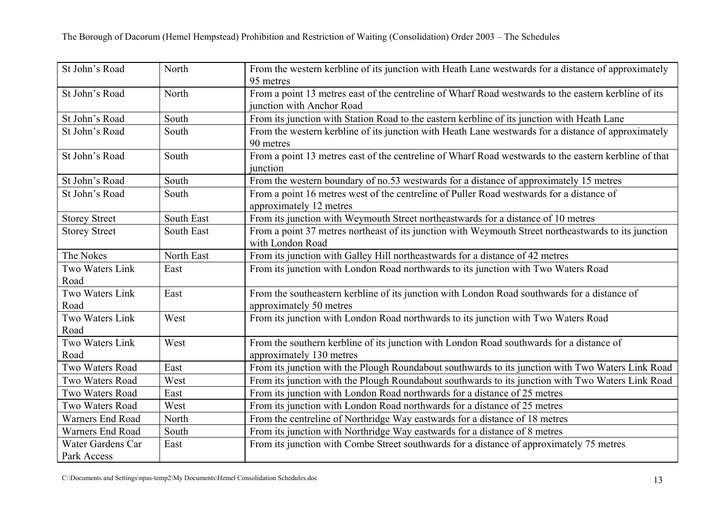| St John's Road                   | North      | From the western kerbline of its junction with Heath Lane westwards for a distance of approximately<br>95 metres                  |
|----------------------------------|------------|-----------------------------------------------------------------------------------------------------------------------------------|
| St John's Road                   | North      | From a point 13 metres east of the centreline of Wharf Road westwards to the eastern kerbline of its<br>junction with Anchor Road |
| St John's Road                   | South      | From its junction with Station Road to the eastern kerbline of its junction with Heath Lane                                       |
| St John's Road                   | South      | From the western kerbline of its junction with Heath Lane westwards for a distance of approximately<br>90 metres                  |
| St John's Road                   | South      | From a point 13 metres east of the centreline of Wharf Road westwards to the eastern kerbline of that<br>junction                 |
| St John's Road                   | South      | From the western boundary of no.53 westwards for a distance of approximately 15 metres                                            |
| St John's Road                   | South      | From a point 16 metres west of the centreline of Puller Road westwards for a distance of<br>approximately 12 metres               |
| <b>Storey Street</b>             | South East | From its junction with Weymouth Street northeastwards for a distance of 10 metres                                                 |
| <b>Storey Street</b>             | South East | From a point 37 metres northeast of its junction with Weymouth Street northeastwards to its junction<br>with London Road          |
| The Nokes                        | North East | From its junction with Galley Hill northeastwards for a distance of 42 metres                                                     |
| Two Waters Link<br>Road          | East       | From its junction with London Road northwards to its junction with Two Waters Road                                                |
| Two Waters Link<br>Road          | East       | From the southeastern kerbline of its junction with London Road southwards for a distance of<br>approximately 50 metres           |
| Two Waters Link<br>Road          | West       | From its junction with London Road northwards to its junction with Two Waters Road                                                |
| Two Waters Link<br>Road          | West       | From the southern kerbline of its junction with London Road southwards for a distance of<br>approximately 130 metres              |
| Two Waters Road                  | East       | From its junction with the Plough Roundabout southwards to its junction with Two Waters Link Road                                 |
| Two Waters Road                  | West       | From its junction with the Plough Roundabout southwards to its junction with Two Waters Link Road                                 |
| Two Waters Road                  | East       | From its junction with London Road northwards for a distance of 25 metres                                                         |
| Two Waters Road                  | West       | From its junction with London Road northwards for a distance of 25 metres                                                         |
| Warners End Road                 | North      | From the centreline of Northridge Way eastwards for a distance of 18 metres                                                       |
| Warners End Road                 | South      | From its junction with Northridge Way eastwards for a distance of 8 metres                                                        |
| Water Gardens Car<br>Park Access | East       | From its junction with Combe Street southwards for a distance of approximately 75 metres                                          |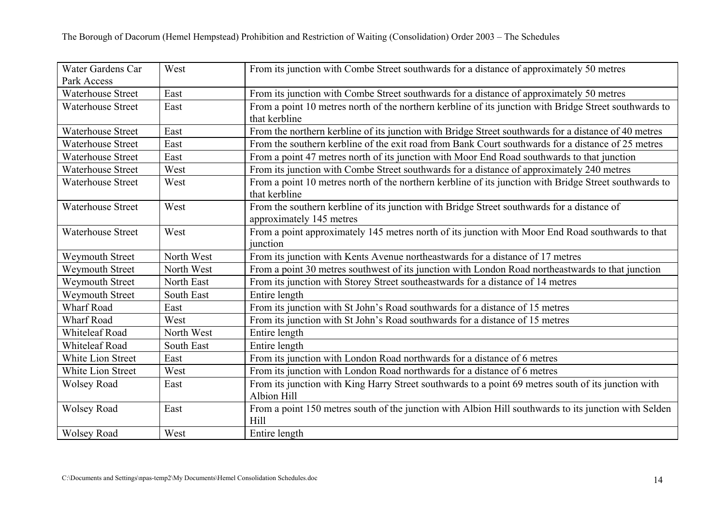| Water Gardens Car<br>Park Access | West       | From its junction with Combe Street southwards for a distance of approximately 50 metres                                |
|----------------------------------|------------|-------------------------------------------------------------------------------------------------------------------------|
| <b>Waterhouse Street</b>         | East       | From its junction with Combe Street southwards for a distance of approximately 50 metres                                |
| <b>Waterhouse Street</b>         | East       | From a point 10 metres north of the northern kerbline of its junction with Bridge Street southwards to<br>that kerbline |
| <b>Waterhouse Street</b>         | East       | From the northern kerbline of its junction with Bridge Street southwards for a distance of 40 metres                    |
| <b>Waterhouse Street</b>         | East       | From the southern kerbline of the exit road from Bank Court southwards for a distance of 25 metres                      |
| Waterhouse Street                | East       | From a point 47 metres north of its junction with Moor End Road southwards to that junction                             |
| <b>Waterhouse Street</b>         | West       | From its junction with Combe Street southwards for a distance of approximately 240 metres                               |
| <b>Waterhouse Street</b>         | West       | From a point 10 metres north of the northern kerbline of its junction with Bridge Street southwards to<br>that kerbline |
| <b>Waterhouse Street</b>         | West       | From the southern kerbline of its junction with Bridge Street southwards for a distance of<br>approximately 145 metres  |
| <b>Waterhouse Street</b>         | West       | From a point approximately 145 metres north of its junction with Moor End Road southwards to that<br>junction           |
| Weymouth Street                  | North West | From its junction with Kents Avenue northeastwards for a distance of 17 metres                                          |
| <b>Weymouth Street</b>           | North West | From a point 30 metres southwest of its junction with London Road northeastwards to that junction                       |
| Weymouth Street                  | North East | From its junction with Storey Street southeastwards for a distance of 14 metres                                         |
| <b>Weymouth Street</b>           | South East | Entire length                                                                                                           |
| <b>Wharf Road</b>                | East       | From its junction with St John's Road southwards for a distance of 15 metres                                            |
| <b>Wharf Road</b>                | West       | From its junction with St John's Road southwards for a distance of 15 metres                                            |
| <b>Whiteleaf Road</b>            | North West | Entire length                                                                                                           |
| <b>Whiteleaf Road</b>            | South East | Entire length                                                                                                           |
| White Lion Street                | East       | From its junction with London Road northwards for a distance of 6 metres                                                |
| White Lion Street                | West       | From its junction with London Road northwards for a distance of 6 metres                                                |
| <b>Wolsey Road</b>               | East       | From its junction with King Harry Street southwards to a point 69 metres south of its junction with<br>Albion Hill      |
| <b>Wolsey Road</b>               | East       | From a point 150 metres south of the junction with Albion Hill southwards to its junction with Selden<br>Hill           |
| <b>Wolsey Road</b>               | West       | Entire length                                                                                                           |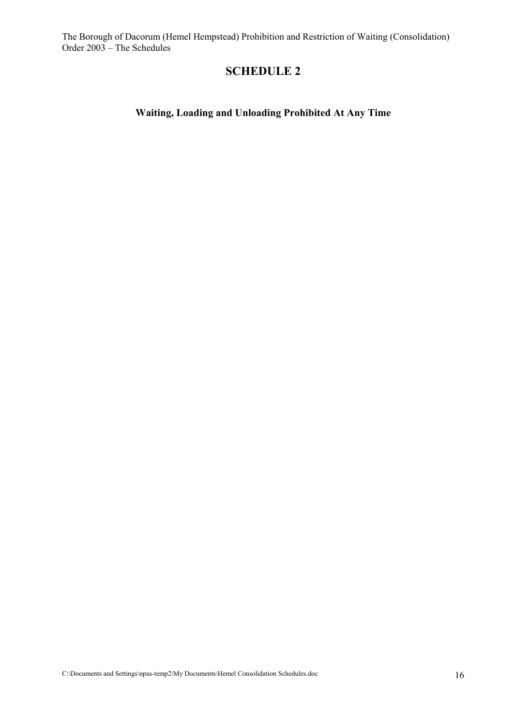# **SCHEDULE 2**

# **Waiting, Loading and Unloading Prohibited At Any Time**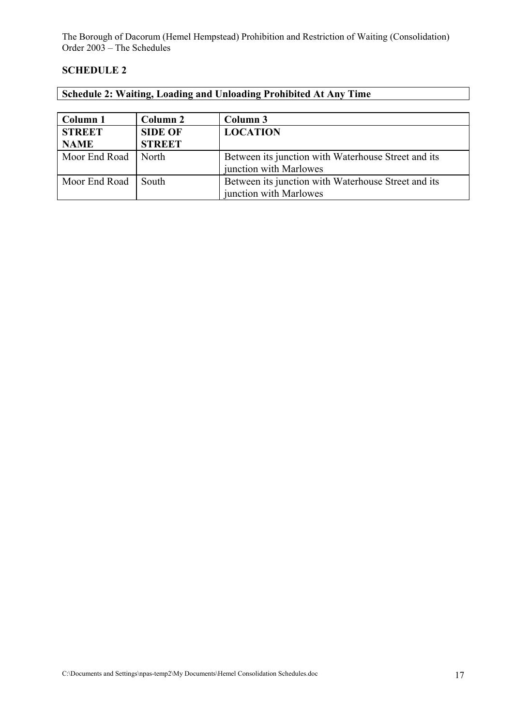#### **SCHEDULE 2**

|  |  | <b>Schedule 2: Waiting, Loading and Unloading Prohibited At Any Time</b> |
|--|--|--------------------------------------------------------------------------|
|  |  |                                                                          |

| Column 1      | Column 2       | Column 3                                            |
|---------------|----------------|-----------------------------------------------------|
| <b>STREET</b> | <b>SIDE OF</b> | <b>LOCATION</b>                                     |
| <b>NAME</b>   | <b>STREET</b>  |                                                     |
| Moor End Road | North          | Between its junction with Waterhouse Street and its |
|               |                | junction with Marlowes                              |
| Moor End Road | South          | Between its junction with Waterhouse Street and its |
|               |                | junction with Marlowes                              |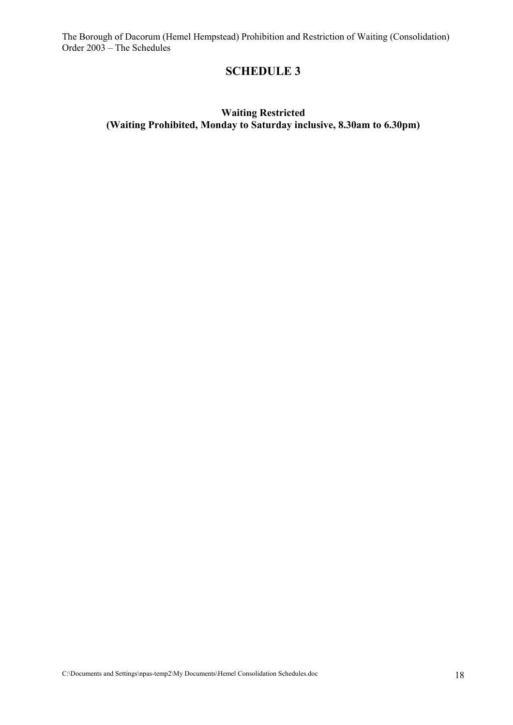### **SCHEDULE 3**

### **Waiting Restricted (Waiting Prohibited, Monday to Saturday inclusive, 8.30am to 6.30pm)**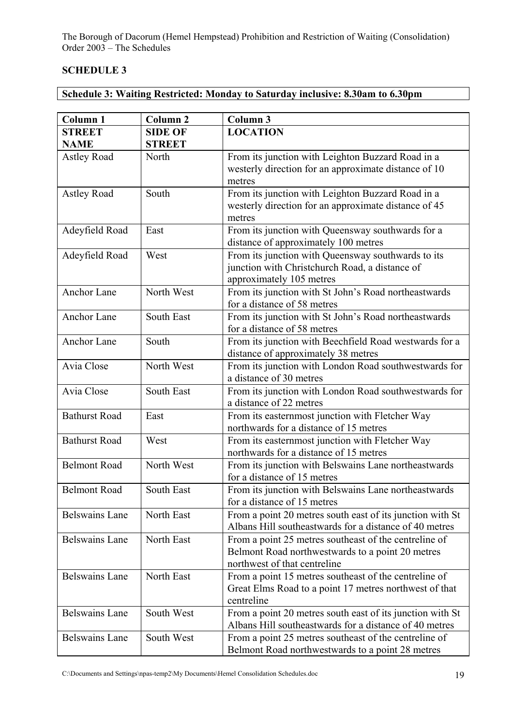#### **SCHEDULE 3**

**Schedule 3: Waiting Restricted: Monday to Saturday inclusive: 8.30am to 6.30pm** 

| <b>Column 1</b>       | Column <sub>2</sub> | Column 3                                                                                                                                  |
|-----------------------|---------------------|-------------------------------------------------------------------------------------------------------------------------------------------|
| <b>STREET</b>         | <b>SIDE OF</b>      | <b>LOCATION</b>                                                                                                                           |
| <b>NAME</b>           | <b>STREET</b>       |                                                                                                                                           |
| <b>Astley Road</b>    | North               | From its junction with Leighton Buzzard Road in a<br>westerly direction for an approximate distance of 10<br>metres                       |
| <b>Astley Road</b>    | South               | From its junction with Leighton Buzzard Road in a<br>westerly direction for an approximate distance of 45<br>metres                       |
| Adeyfield Road        | East                | From its junction with Queensway southwards for a<br>distance of approximately 100 metres                                                 |
| Adeyfield Road        | West                | From its junction with Queensway southwards to its<br>junction with Christchurch Road, a distance of<br>approximately 105 metres          |
| Anchor Lane           | North West          | From its junction with St John's Road northeastwards<br>for a distance of 58 metres                                                       |
| Anchor Lane           | <b>South East</b>   | From its junction with St John's Road northeastwards<br>for a distance of 58 metres                                                       |
| Anchor Lane           | South               | From its junction with Beechfield Road westwards for a<br>distance of approximately 38 metres                                             |
| Avia Close            | North West          | From its junction with London Road southwestwards for<br>a distance of 30 metres                                                          |
| Avia Close            | South East          | From its junction with London Road southwestwards for<br>a distance of 22 metres                                                          |
| <b>Bathurst Road</b>  | East                | From its easternmost junction with Fletcher Way<br>northwards for a distance of 15 metres                                                 |
| <b>Bathurst Road</b>  | West                | From its easternmost junction with Fletcher Way<br>northwards for a distance of 15 metres                                                 |
| <b>Belmont Road</b>   | North West          | From its junction with Belswains Lane northeastwards<br>for a distance of 15 metres                                                       |
| <b>Belmont Road</b>   | <b>South East</b>   | From its junction with Belswains Lane northeastwards<br>for a distance of 15 metres                                                       |
| <b>Belswains Lane</b> | North East          | From a point 20 metres south east of its junction with St<br>Albans Hill southeastwards for a distance of 40 metres                       |
| <b>Belswains Lane</b> | North East          | From a point 25 metres southeast of the centreline of<br>Belmont Road northwestwards to a point 20 metres<br>northwest of that centreline |
| <b>Belswains Lane</b> | North East          | From a point 15 metres southeast of the centreline of<br>Great Elms Road to a point 17 metres northwest of that<br>centreline             |
| <b>Belswains Lane</b> | South West          | From a point 20 metres south east of its junction with St<br>Albans Hill southeastwards for a distance of 40 metres                       |
| <b>Belswains Lane</b> | South West          | From a point 25 metres southeast of the centreline of<br>Belmont Road northwestwards to a point 28 metres                                 |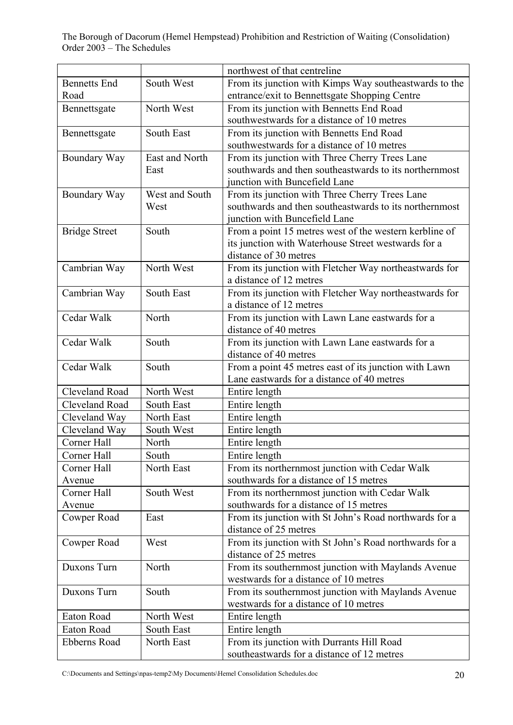|                       |                | northwest of that centreline                           |
|-----------------------|----------------|--------------------------------------------------------|
| <b>Bennetts End</b>   | South West     | From its junction with Kimps Way southeastwards to the |
| Road                  |                | entrance/exit to Bennettsgate Shopping Centre          |
| Bennettsgate          | North West     | From its junction with Bennetts End Road               |
|                       |                | southwestwards for a distance of 10 metres             |
| Bennettsgate          | South East     | From its junction with Bennetts End Road               |
|                       |                | southwestwards for a distance of 10 metres             |
| Boundary Way          | East and North | From its junction with Three Cherry Trees Lane         |
|                       | East           | southwards and then southeastwards to its northernmost |
|                       |                | junction with Buncefield Lane                          |
| Boundary Way          | West and South | From its junction with Three Cherry Trees Lane         |
|                       | West           | southwards and then southeastwards to its northernmost |
|                       |                | junction with Buncefield Lane                          |
| <b>Bridge Street</b>  | South          | From a point 15 metres west of the western kerbline of |
|                       |                | its junction with Waterhouse Street westwards for a    |
|                       |                | distance of 30 metres                                  |
| Cambrian Way          | North West     | From its junction with Fletcher Way northeastwards for |
|                       |                | a distance of 12 metres                                |
| Cambrian Way          | South East     | From its junction with Fletcher Way northeastwards for |
|                       |                | a distance of 12 metres                                |
| Cedar Walk            | North          | From its junction with Lawn Lane eastwards for a       |
|                       |                | distance of 40 metres                                  |
| Cedar Walk            | South          | From its junction with Lawn Lane eastwards for a       |
|                       |                | distance of 40 metres                                  |
| Cedar Walk            | South          | From a point 45 metres east of its junction with Lawn  |
|                       |                | Lane eastwards for a distance of 40 metres             |
| Cleveland Road        | North West     | Entire length                                          |
| <b>Cleveland Road</b> | South East     | Entire length                                          |
| Cleveland Way         | North East     | Entire length                                          |
| Cleveland Way         | South West     | Entire length                                          |
| Corner Hall           | North          |                                                        |
|                       |                | Entire length                                          |
| Corner Hall           | South          | Entire length                                          |
| Corner Hall           | North East     | From its northernmost junction with Cedar Walk         |
| Avenue                |                | southwards for a distance of 15 metres                 |
| Corner Hall           | South West     | From its northernmost junction with Cedar Walk         |
| Avenue                |                | southwards for a distance of 15 metres                 |
| Cowper Road           | East           | From its junction with St John's Road northwards for a |
|                       |                | distance of 25 metres                                  |
| Cowper Road           | West           | From its junction with St John's Road northwards for a |
|                       |                | distance of 25 metres                                  |
| Duxons Turn           | North          | From its southernmost junction with Maylands Avenue    |
|                       |                | westwards for a distance of 10 metres                  |
| Duxons Turn           | South          | From its southernmost junction with Maylands Avenue    |
|                       |                | westwards for a distance of 10 metres                  |
| Eaton Road            | North West     | Entire length                                          |
| Eaton Road            | South East     | Entire length                                          |
| Ebberns Road          | North East     | From its junction with Durrants Hill Road              |
|                       |                | southeastwards for a distance of 12 metres             |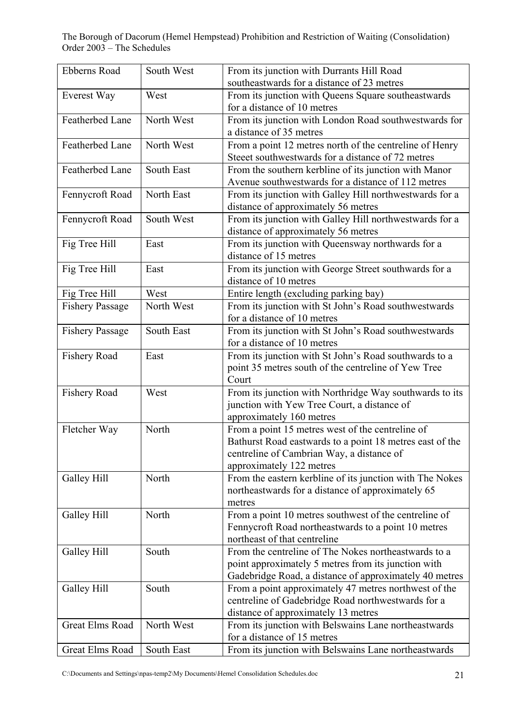| <b>Ebberns Road</b>    | South West | From its junction with Durrants Hill Road                                          |
|------------------------|------------|------------------------------------------------------------------------------------|
|                        |            | southeastwards for a distance of 23 metres                                         |
| Everest Way            | West       | From its junction with Queens Square southeastwards<br>for a distance of 10 metres |
| Featherbed Lane        | North West | From its junction with London Road southwestwards for                              |
|                        |            | a distance of 35 metres                                                            |
| Featherbed Lane        | North West | From a point 12 metres north of the centreline of Henry                            |
|                        |            | Stee et southwestwards for a distance of 72 metres                                 |
| Featherbed Lane        | South East | From the southern kerbline of its junction with Manor                              |
|                        |            | Avenue southwestwards for a distance of 112 metres                                 |
| Fennycroft Road        | North East | From its junction with Galley Hill northwestwards for a                            |
|                        |            | distance of approximately 56 metres                                                |
| Fennycroft Road        | South West | From its junction with Galley Hill northwestwards for a                            |
|                        |            | distance of approximately 56 metres                                                |
| Fig Tree Hill          | East       | From its junction with Queensway northwards for a                                  |
|                        |            | distance of 15 metres                                                              |
| Fig Tree Hill          | East       | From its junction with George Street southwards for a                              |
|                        |            | distance of 10 metres                                                              |
| Fig Tree Hill          | West       | Entire length (excluding parking bay)                                              |
| <b>Fishery Passage</b> | North West | From its junction with St John's Road southwestwards                               |
|                        |            | for a distance of 10 metres                                                        |
| <b>Fishery Passage</b> | South East | From its junction with St John's Road southwestwards                               |
|                        |            | for a distance of 10 metres                                                        |
| Fishery Road           | East       | From its junction with St John's Road southwards to a                              |
|                        |            | point 35 metres south of the centreline of Yew Tree                                |
|                        |            | Court                                                                              |
| <b>Fishery Road</b>    | West       | From its junction with Northridge Way southwards to its                            |
|                        |            | junction with Yew Tree Court, a distance of                                        |
|                        |            | approximately 160 metres                                                           |
| Fletcher Way           | North      | From a point 15 metres west of the centreline of                                   |
|                        |            | Bathurst Road eastwards to a point 18 metres east of the                           |
|                        |            | centreline of Cambrian Way, a distance of                                          |
|                        |            | approximately 122 metres                                                           |
| Galley Hill            | North      | From the eastern kerbline of its junction with The Nokes                           |
|                        |            | northeastwards for a distance of approximately 65                                  |
|                        |            | metres                                                                             |
| Galley Hill            | North      | From a point 10 metres southwest of the centreline of                              |
|                        |            | Fennycroft Road northeastwards to a point 10 metres                                |
|                        |            | northeast of that centreline                                                       |
| Galley Hill            | South      | From the centreline of The Nokes northeastwards to a                               |
|                        |            | point approximately 5 metres from its junction with                                |
|                        |            | Gadebridge Road, a distance of approximately 40 metres                             |
| Galley Hill            | South      | From a point approximately 47 metres northwest of the                              |
|                        |            | centreline of Gadebridge Road northwestwards for a                                 |
|                        |            | distance of approximately 13 metres                                                |
| <b>Great Elms Road</b> | North West | From its junction with Belswains Lane northeastwards                               |
|                        |            | for a distance of 15 metres                                                        |
| <b>Great Elms Road</b> | South East | From its junction with Belswains Lane northeastwards                               |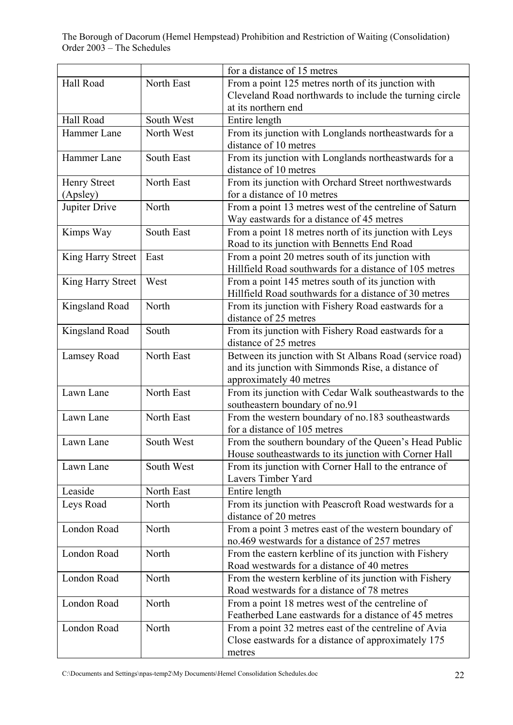|                     |            | for a distance of 15 metres                                                        |
|---------------------|------------|------------------------------------------------------------------------------------|
| Hall Road           | North East | From a point 125 metres north of its junction with                                 |
|                     |            | Cleveland Road northwards to include the turning circle                            |
|                     |            | at its northern end                                                                |
| Hall Road           | South West | Entire length                                                                      |
| Hammer Lane         | North West | From its junction with Longlands northeastwards for a                              |
|                     |            | distance of 10 metres                                                              |
| Hammer Lane         | South East | From its junction with Longlands northeastwards for a                              |
|                     |            | distance of 10 metres                                                              |
| <b>Henry Street</b> | North East | From its junction with Orchard Street northwestwards                               |
| (Apsley)            |            | for a distance of 10 metres                                                        |
| Jupiter Drive       | North      | From a point 13 metres west of the centreline of Saturn                            |
|                     |            | Way eastwards for a distance of 45 metres                                          |
| Kimps Way           | South East | From a point 18 metres north of its junction with Leys                             |
|                     |            | Road to its junction with Bennetts End Road                                        |
| King Harry Street   | East       | From a point 20 metres south of its junction with                                  |
|                     |            | Hillfield Road southwards for a distance of 105 metres                             |
| King Harry Street   | West       | From a point 145 metres south of its junction with                                 |
|                     |            | Hillfield Road southwards for a distance of 30 metres                              |
| Kingsland Road      | North      | From its junction with Fishery Road eastwards for a                                |
|                     |            | distance of 25 metres                                                              |
| Kingsland Road      | South      | From its junction with Fishery Road eastwards for a                                |
|                     |            | distance of 25 metres                                                              |
|                     | North East |                                                                                    |
| Lamsey Road         |            | Between its junction with St Albans Road (service road)                            |
|                     |            | and its junction with Simmonds Rise, a distance of                                 |
| Lawn Lane           | North East | approximately 40 metres                                                            |
|                     |            | From its junction with Cedar Walk southeastwards to the                            |
| Lawn Lane           | North East | southeastern boundary of no.91                                                     |
|                     |            | From the western boundary of no.183 southeastwards<br>for a distance of 105 metres |
| Lawn Lane           | South West |                                                                                    |
|                     |            | From the southern boundary of the Queen's Head Public                              |
|                     |            | House southeastwards to its junction with Corner Hall                              |
| Lawn Lane           | South West | From its junction with Corner Hall to the entrance of                              |
|                     |            | Lavers Timber Yard                                                                 |
| Leaside             | North East | Entire length                                                                      |
| Leys Road           | North      | From its junction with Peascroft Road westwards for a                              |
|                     |            | distance of 20 metres                                                              |
| London Road         | North      | From a point 3 metres east of the western boundary of                              |
|                     |            | no.469 westwards for a distance of 257 metres                                      |
| London Road         | North      | From the eastern kerbline of its junction with Fishery                             |
|                     |            | Road westwards for a distance of 40 metres                                         |
| London Road         | North      | From the western kerbline of its junction with Fishery                             |
|                     |            | Road westwards for a distance of 78 metres                                         |
| London Road         | North      | From a point 18 metres west of the centreline of                                   |
|                     |            | Featherbed Lane eastwards for a distance of 45 metres                              |
| London Road         | North      | From a point 32 metres east of the centreline of Avia                              |
|                     |            | Close eastwards for a distance of approximately 175                                |
|                     |            | metres                                                                             |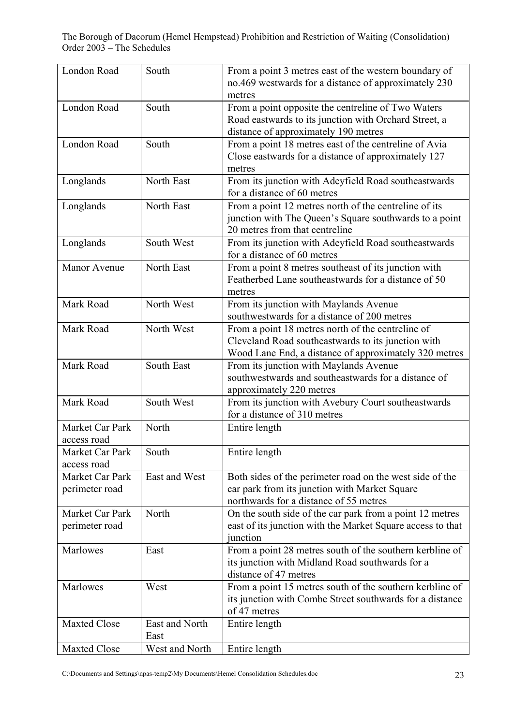| London Road         | South          | From a point 3 metres east of the western boundary of<br>no.469 westwards for a distance of approximately 230 |
|---------------------|----------------|---------------------------------------------------------------------------------------------------------------|
|                     |                | metres                                                                                                        |
| London Road         | South          | From a point opposite the centreline of Two Waters                                                            |
|                     |                | Road eastwards to its junction with Orchard Street, a                                                         |
|                     |                | distance of approximately 190 metres                                                                          |
| London Road         | South          | From a point 18 metres east of the centreline of Avia                                                         |
|                     |                | Close eastwards for a distance of approximately 127                                                           |
|                     |                | metres                                                                                                        |
| Longlands           | North East     | From its junction with Adeyfield Road southeastwards                                                          |
|                     |                | for a distance of 60 metres                                                                                   |
| Longlands           | North East     | From a point 12 metres north of the centreline of its                                                         |
|                     |                | junction with The Queen's Square southwards to a point                                                        |
|                     |                | 20 metres from that centreline                                                                                |
| Longlands           | South West     | From its junction with Adeyfield Road southeastwards                                                          |
|                     |                | for a distance of 60 metres                                                                                   |
| Manor Avenue        | North East     | From a point 8 metres southeast of its junction with                                                          |
|                     |                | Featherbed Lane southeastwards for a distance of 50                                                           |
|                     |                | metres                                                                                                        |
| Mark Road           | North West     | From its junction with Maylands Avenue                                                                        |
|                     |                | southwestwards for a distance of 200 metres                                                                   |
| Mark Road           | North West     |                                                                                                               |
|                     |                | From a point 18 metres north of the centreline of                                                             |
|                     |                | Cleveland Road southeastwards to its junction with                                                            |
|                     |                | Wood Lane End, a distance of approximately 320 metres                                                         |
| Mark Road           | South East     | From its junction with Maylands Avenue                                                                        |
|                     |                | southwestwards and southeastwards for a distance of                                                           |
|                     |                | approximately 220 metres                                                                                      |
| Mark Road           | South West     | From its junction with Avebury Court southeastwards                                                           |
|                     |                | for a distance of 310 metres                                                                                  |
| Market Car Park     | North          | Entire length                                                                                                 |
| access road         |                |                                                                                                               |
| Market Car Park     | South          | Entire length                                                                                                 |
| access road         |                |                                                                                                               |
| Market Car Park     | East and West  | Both sides of the perimeter road on the west side of the                                                      |
| perimeter road      |                | car park from its junction with Market Square                                                                 |
|                     |                | northwards for a distance of 55 metres                                                                        |
| Market Car Park     | North          | On the south side of the car park from a point 12 metres                                                      |
| perimeter road      |                | east of its junction with the Market Square access to that                                                    |
|                     |                | junction                                                                                                      |
| Marlowes            | East           | From a point 28 metres south of the southern kerbline of                                                      |
|                     |                | its junction with Midland Road southwards for a                                                               |
|                     |                | distance of 47 metres                                                                                         |
| Marlowes            | West           | From a point 15 metres south of the southern kerbline of                                                      |
|                     |                | its junction with Combe Street southwards for a distance                                                      |
|                     |                | of 47 metres                                                                                                  |
| <b>Maxted Close</b> | East and North | Entire length                                                                                                 |
|                     | East           |                                                                                                               |
| <b>Maxted Close</b> | West and North | Entire length                                                                                                 |
|                     |                |                                                                                                               |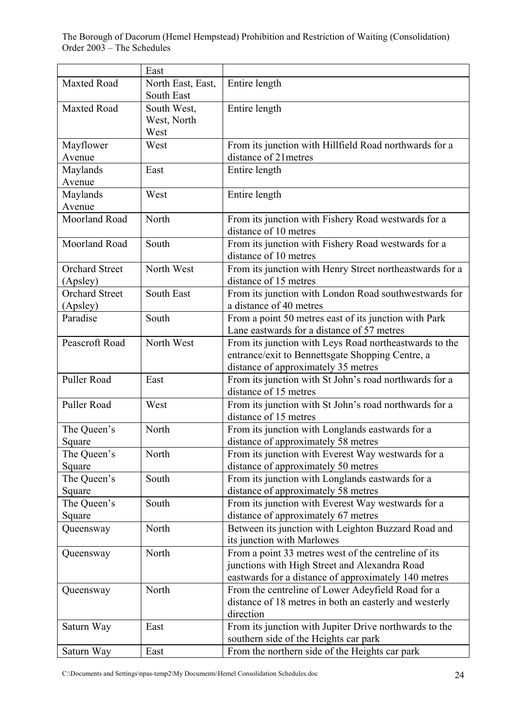|                       | East              |                                                          |
|-----------------------|-------------------|----------------------------------------------------------|
| <b>Maxted Road</b>    | North East, East, | Entire length                                            |
|                       | South East        |                                                          |
| <b>Maxted Road</b>    | South West,       | Entire length                                            |
|                       | West, North       |                                                          |
|                       | West              |                                                          |
| Mayflower             | West              | From its junction with Hillfield Road northwards for a   |
| Avenue                |                   | distance of 21 metres                                    |
| Maylands              | East              | Entire length                                            |
| Avenue                |                   |                                                          |
| Maylands              | West              | Entire length                                            |
| Avenue                |                   |                                                          |
| Moorland Road         | North             | From its junction with Fishery Road westwards for a      |
|                       |                   | distance of 10 metres                                    |
| Moorland Road         | South             | From its junction with Fishery Road westwards for a      |
|                       |                   | distance of 10 metres                                    |
| <b>Orchard Street</b> | North West        | From its junction with Henry Street northeastwards for a |
| (Apsley)              |                   | distance of 15 metres                                    |
| <b>Orchard Street</b> | <b>South East</b> | From its junction with London Road southwestwards for    |
| (Apsley)              |                   | a distance of 40 metres                                  |
| Paradise              | South             | From a point 50 metres east of its junction with Park    |
|                       |                   | Lane eastwards for a distance of 57 metres               |
| Peascroft Road        | North West        | From its junction with Leys Road northeastwards to the   |
|                       |                   | entrance/exit to Bennettsgate Shopping Centre, a         |
|                       |                   | distance of approximately 35 metres                      |
| Puller Road           | East              | From its junction with St John's road northwards for a   |
|                       |                   | distance of 15 metres                                    |
| Puller Road           | West              | From its junction with St John's road northwards for a   |
|                       |                   | distance of 15 metres                                    |
| The Queen's           | North             | From its junction with Longlands eastwards for a         |
| Square                |                   | distance of approximately 58 metres                      |
| The Queen's           | North             | From its junction with Everest Way westwards for a       |
| Square                |                   | distance of approximately 50 metres                      |
| The Queen's           | South             | From its junction with Longlands eastwards for a         |
| Square                |                   | distance of approximately 58 metres                      |
| The Queen's           | South             | From its junction with Everest Way westwards for a       |
| Square                |                   | distance of approximately 67 metres                      |
| Queensway             | North             | Between its junction with Leighton Buzzard Road and      |
|                       |                   | its junction with Marlowes                               |
| Queensway             | North             | From a point 33 metres west of the centreline of its     |
|                       |                   | junctions with High Street and Alexandra Road            |
|                       |                   | eastwards for a distance of approximately 140 metres     |
| Queensway             | North             | From the centreline of Lower Adeyfield Road for a        |
|                       |                   | distance of 18 metres in both an easterly and westerly   |
|                       |                   | direction                                                |
| Saturn Way            | East              | From its junction with Jupiter Drive northwards to the   |
|                       |                   | southern side of the Heights car park                    |
| Saturn Way            | East              | From the northern side of the Heights car park           |
|                       |                   |                                                          |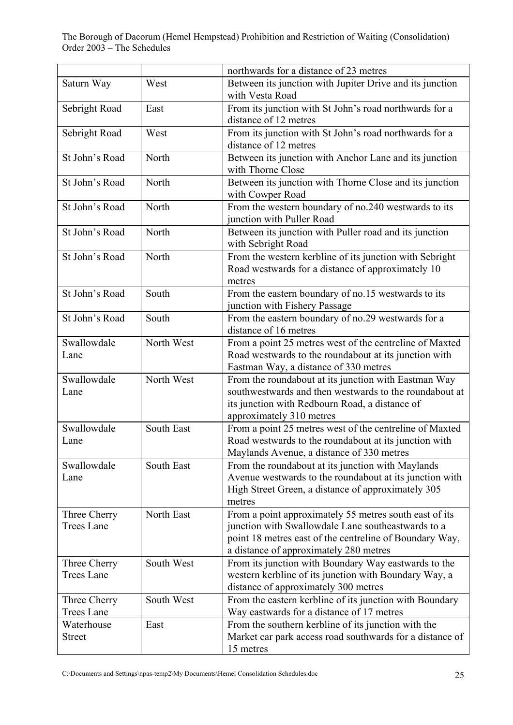|                   |            | northwards for a distance of 23 metres                   |
|-------------------|------------|----------------------------------------------------------|
| Saturn Way        | West       | Between its junction with Jupiter Drive and its junction |
|                   |            | with Vesta Road                                          |
| Sebright Road     | East       | From its junction with St John's road northwards for a   |
|                   |            | distance of 12 metres                                    |
| Sebright Road     | West       | From its junction with St John's road northwards for a   |
|                   |            | distance of 12 metres                                    |
| St John's Road    | North      | Between its junction with Anchor Lane and its junction   |
|                   |            | with Thorne Close                                        |
| St John's Road    | North      | Between its junction with Thorne Close and its junction  |
|                   |            | with Cowper Road                                         |
| St John's Road    | North      | From the western boundary of no.240 westwards to its     |
|                   |            | junction with Puller Road                                |
|                   |            |                                                          |
| St John's Road    | North      | Between its junction with Puller road and its junction   |
|                   |            | with Sebright Road                                       |
| St John's Road    | North      | From the western kerbline of its junction with Sebright  |
|                   |            | Road westwards for a distance of approximately 10        |
|                   |            | metres                                                   |
| St John's Road    | South      | From the eastern boundary of no.15 westwards to its      |
|                   |            | junction with Fishery Passage                            |
| St John's Road    | South      | From the eastern boundary of no.29 westwards for a       |
|                   |            | distance of 16 metres                                    |
| Swallowdale       | North West | From a point 25 metres west of the centreline of Maxted  |
| Lane              |            | Road westwards to the roundabout at its junction with    |
|                   |            | Eastman Way, a distance of 330 metres                    |
| Swallowdale       | North West | From the roundabout at its junction with Eastman Way     |
| Lane              |            | southwestwards and then westwards to the roundabout at   |
|                   |            | its junction with Redbourn Road, a distance of           |
|                   |            | approximately 310 metres                                 |
| Swallowdale       | South East | From a point 25 metres west of the centreline of Maxted  |
| Lane              |            | Road westwards to the roundabout at its junction with    |
|                   |            | Maylands Avenue, a distance of 330 metres                |
| Swallowdale       | South East | From the roundabout at its junction with Maylands        |
| Lane              |            | Avenue westwards to the roundabout at its junction with  |
|                   |            | High Street Green, a distance of approximately 305       |
|                   |            | metres                                                   |
| Three Cherry      | North East | From a point approximately 55 metres south east of its   |
| <b>Trees Lane</b> |            | junction with Swallowdale Lane southeastwards to a       |
|                   |            | point 18 metres east of the centreline of Boundary Way,  |
|                   |            | a distance of approximately 280 metres                   |
| Three Cherry      | South West | From its junction with Boundary Way eastwards to the     |
| <b>Trees Lane</b> |            | western kerbline of its junction with Boundary Way, a    |
|                   |            | distance of approximately 300 metres                     |
| Three Cherry      | South West | From the eastern kerbline of its junction with Boundary  |
| <b>Trees Lane</b> |            | Way eastwards for a distance of 17 metres                |
| Waterhouse        | East       | From the southern kerbline of its junction with the      |
| <b>Street</b>     |            | Market car park access road southwards for a distance of |
|                   |            | 15 metres                                                |
|                   |            |                                                          |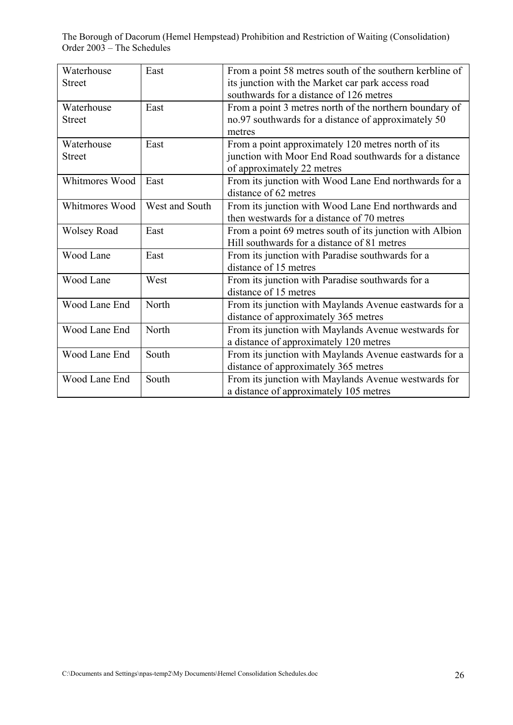| Waterhouse         | East           | From a point 58 metres south of the southern kerbline of |
|--------------------|----------------|----------------------------------------------------------|
| <b>Street</b>      |                | its junction with the Market car park access road        |
|                    |                | southwards for a distance of 126 metres                  |
| Waterhouse         | East           | From a point 3 metres north of the northern boundary of  |
| <b>Street</b>      |                | no.97 southwards for a distance of approximately 50      |
|                    |                | metres                                                   |
| Waterhouse         | East           | From a point approximately 120 metres north of its       |
| Street             |                | junction with Moor End Road southwards for a distance    |
|                    |                | of approximately 22 metres                               |
| Whitmores Wood     | East           | From its junction with Wood Lane End northwards for a    |
|                    |                | distance of 62 metres                                    |
| Whitmores Wood     | West and South | From its junction with Wood Lane End northwards and      |
|                    |                | then westwards for a distance of 70 metres               |
| <b>Wolsey Road</b> | East           | From a point 69 metres south of its junction with Albion |
|                    |                | Hill southwards for a distance of 81 metres              |
| Wood Lane          | East           | From its junction with Paradise southwards for a         |
|                    |                | distance of 15 metres                                    |
| Wood Lane          | West           | From its junction with Paradise southwards for a         |
|                    |                | distance of 15 metres                                    |
| Wood Lane End      | North          | From its junction with Maylands Avenue eastwards for a   |
|                    |                | distance of approximately 365 metres                     |
| Wood Lane End      | North          | From its junction with Maylands Avenue westwards for     |
|                    |                | a distance of approximately 120 metres                   |
| Wood Lane End      | South          | From its junction with Maylands Avenue eastwards for a   |
|                    |                | distance of approximately 365 metres                     |
| Wood Lane End      | South          | From its junction with Maylands Avenue westwards for     |
|                    |                | a distance of approximately 105 metres                   |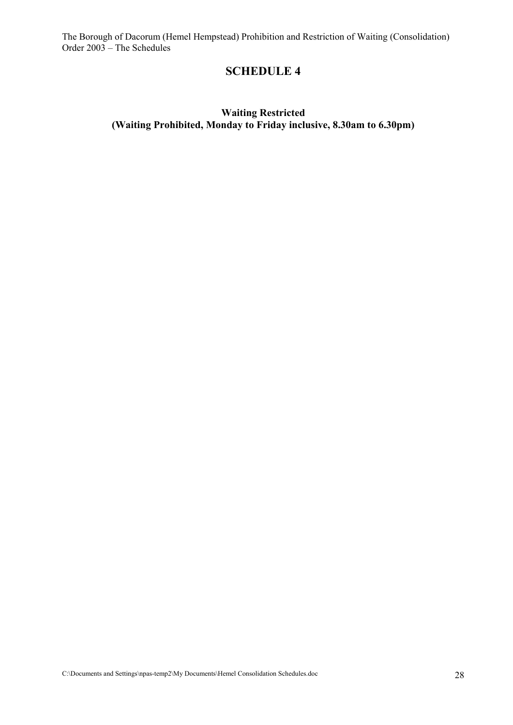### **SCHEDULE 4**

#### **Waiting Restricted (Waiting Prohibited, Monday to Friday inclusive, 8.30am to 6.30pm)**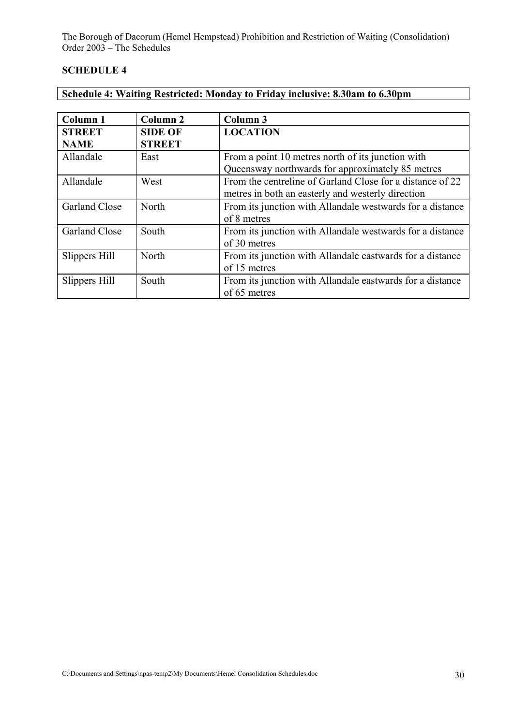#### **SCHEDULE 4**

| Schedule 4: Waiting Restricted: Monday to Friday inclusive: 8.30am to 6.30pm |  |  |
|------------------------------------------------------------------------------|--|--|
|                                                                              |  |  |

| Column 1             | Column 2       | Column 3                                                  |
|----------------------|----------------|-----------------------------------------------------------|
| <b>STREET</b>        | <b>SIDE OF</b> | <b>LOCATION</b>                                           |
| <b>NAME</b>          | <b>STREET</b>  |                                                           |
| Allandale            | East           | From a point 10 metres north of its junction with         |
|                      |                | Queensway northwards for approximately 85 metres          |
| Allandale            | West           | From the centreline of Garland Close for a distance of 22 |
|                      |                | metres in both an easterly and westerly direction         |
| Garland Close        | North          | From its junction with Allandale westwards for a distance |
|                      |                | of 8 metres                                               |
| <b>Garland Close</b> | South          | From its junction with Allandale westwards for a distance |
|                      |                | of 30 metres                                              |
| Slippers Hill        | North          | From its junction with Allandale eastwards for a distance |
|                      |                | of 15 metres                                              |
| Slippers Hill        | South          | From its junction with Allandale eastwards for a distance |
|                      |                | of 65 metres                                              |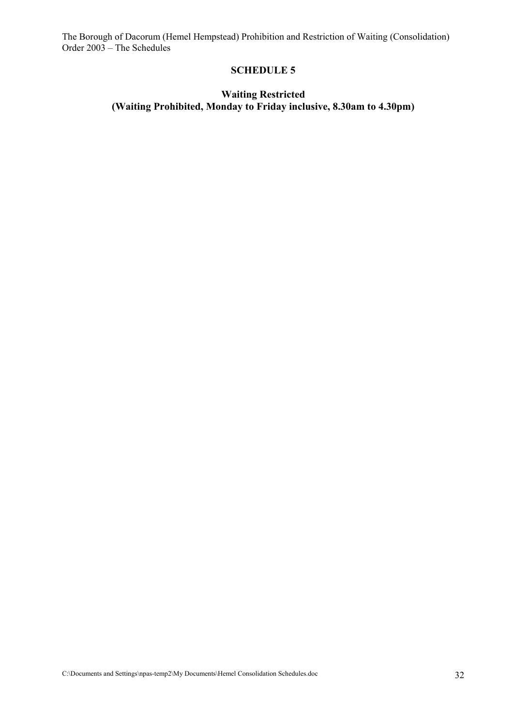#### **SCHEDULE 5**

#### **Waiting Restricted (Waiting Prohibited, Monday to Friday inclusive, 8.30am to 4.30pm)**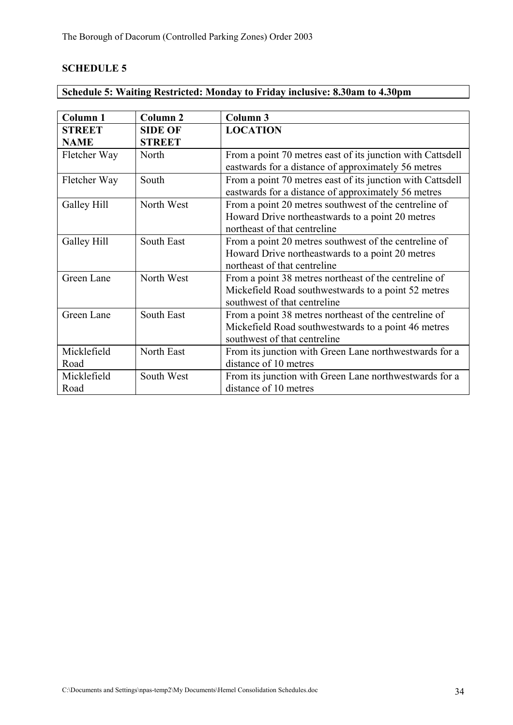|  | Schedule 5: Waiting Restricted: Monday to Friday inclusive: 8.30am to 4.30pm |  |
|--|------------------------------------------------------------------------------|--|
|  |                                                                              |  |

| Column 1      | Column <sub>2</sub> | Column 3                                                                                                          |
|---------------|---------------------|-------------------------------------------------------------------------------------------------------------------|
| <b>STREET</b> | <b>SIDE OF</b>      | <b>LOCATION</b>                                                                                                   |
| <b>NAME</b>   | <b>STREET</b>       |                                                                                                                   |
| Fletcher Way  | North               | From a point 70 metres east of its junction with Cattsdell<br>eastwards for a distance of approximately 56 metres |
| Fletcher Way  | South               | From a point 70 metres east of its junction with Cattsdell<br>eastwards for a distance of approximately 56 metres |
| Galley Hill   | North West          | From a point 20 metres southwest of the centreline of                                                             |
|               |                     | Howard Drive northeastwards to a point 20 metres                                                                  |
|               |                     | northeast of that centreline                                                                                      |
| Galley Hill   | South East          | From a point 20 metres southwest of the centreline of                                                             |
|               |                     | Howard Drive northeastwards to a point 20 metres                                                                  |
|               |                     | northeast of that centreline                                                                                      |
| Green Lane    | North West          | From a point 38 metres northeast of the centreline of                                                             |
|               |                     | Mickefield Road southwestwards to a point 52 metres                                                               |
|               |                     | southwest of that centreline                                                                                      |
| Green Lane    | South East          | From a point 38 metres northeast of the centreline of                                                             |
|               |                     | Mickefield Road southwestwards to a point 46 metres                                                               |
|               |                     | southwest of that centreline                                                                                      |
| Micklefield   | North East          | From its junction with Green Lane northwestwards for a                                                            |
| Road          |                     | distance of 10 metres                                                                                             |
| Micklefield   | South West          | From its junction with Green Lane northwestwards for a                                                            |
| Road          |                     | distance of 10 metres                                                                                             |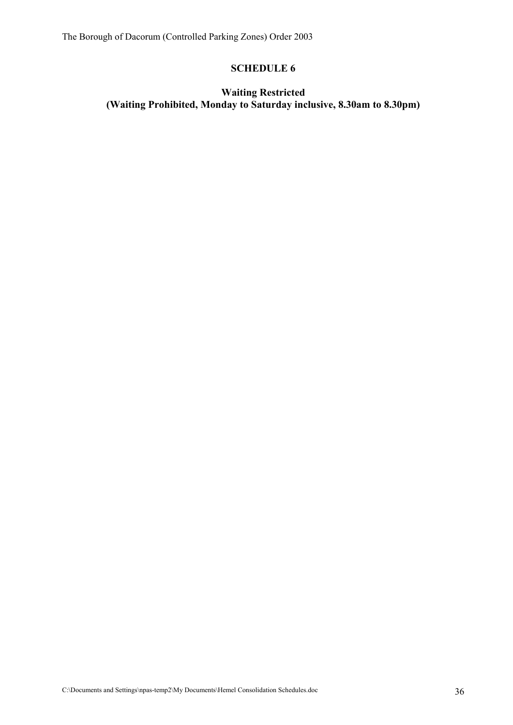### **Waiting Restricted (Waiting Prohibited, Monday to Saturday inclusive, 8.30am to 8.30pm)**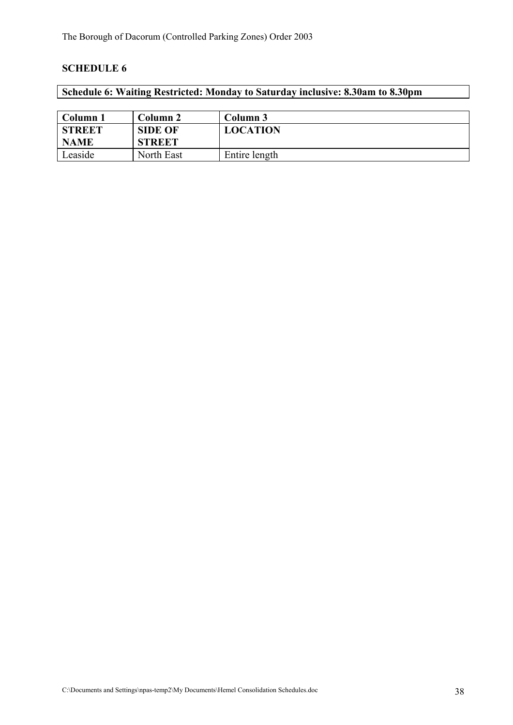### **Schedule 6: Waiting Restricted: Monday to Saturday inclusive: 8.30am to 8.30pm**

| Column 1      | Column 2       | Column 3        |
|---------------|----------------|-----------------|
| <b>STREET</b> | <b>SIDE OF</b> | <b>LOCATION</b> |
| <b>NAME</b>   | <b>STREET</b>  |                 |
| Leaside       | North East     | Entire length   |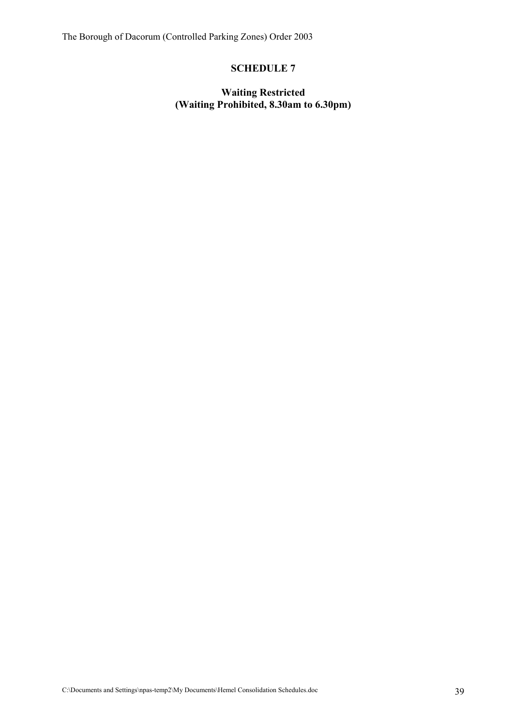#### **Waiting Restricted (Waiting Prohibited, 8.30am to 6.30pm)**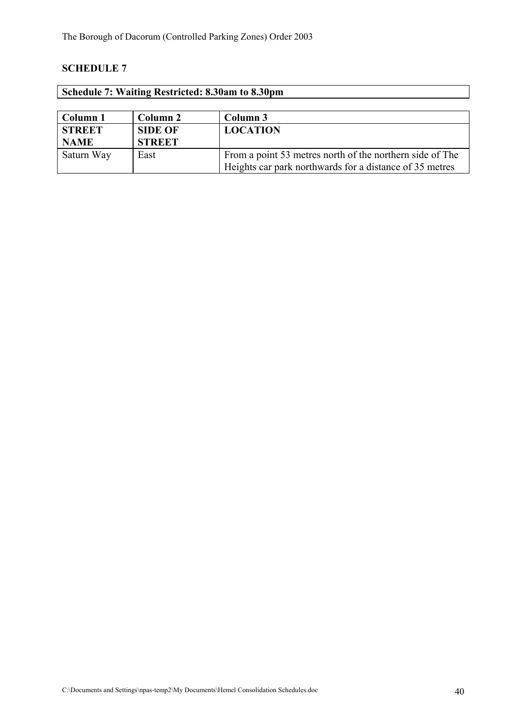| Schedule 7: Waiting Restricted: 8.30am to 8.30pm |                |                                                          |
|--------------------------------------------------|----------------|----------------------------------------------------------|
|                                                  |                |                                                          |
| Column 1                                         | Column 2       | Column 3                                                 |
| <b>STREET</b>                                    | <b>SIDE OF</b> | <b>LOCATION</b>                                          |
| <b>NAME</b>                                      | <b>STREET</b>  |                                                          |
| Saturn Way                                       | East           | From a point 53 metres north of the northern side of The |
|                                                  |                | Heights car park northwards for a distance of 35 metres  |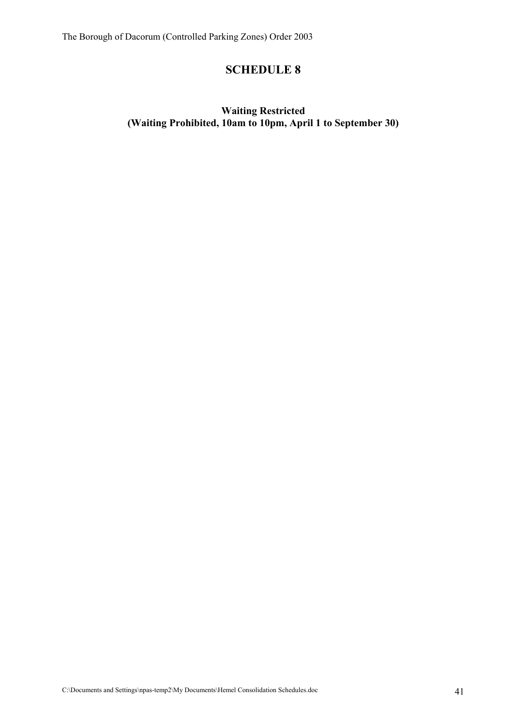### **Waiting Restricted (Waiting Prohibited, 10am to 10pm, April 1 to September 30)**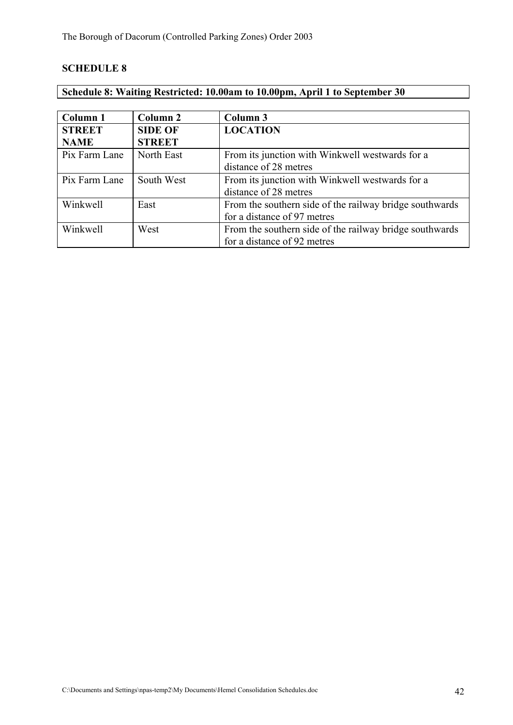### **Schedule 8: Waiting Restricted: 10.00am to 10.00pm, April 1 to September 30**

| Column 1      | Column 2       | Column 3                                                |
|---------------|----------------|---------------------------------------------------------|
| <b>STREET</b> | <b>SIDE OF</b> | <b>LOCATION</b>                                         |
| <b>NAME</b>   | <b>STREET</b>  |                                                         |
| Pix Farm Lane | North East     | From its junction with Winkwell westwards for a         |
|               |                | distance of 28 metres                                   |
| Pix Farm Lane | South West     | From its junction with Winkwell westwards for a         |
|               |                | distance of 28 metres                                   |
| Winkwell      | East           | From the southern side of the railway bridge southwards |
|               |                | for a distance of 97 metres                             |
| Winkwell      | West           | From the southern side of the railway bridge southwards |
|               |                | for a distance of 92 metres                             |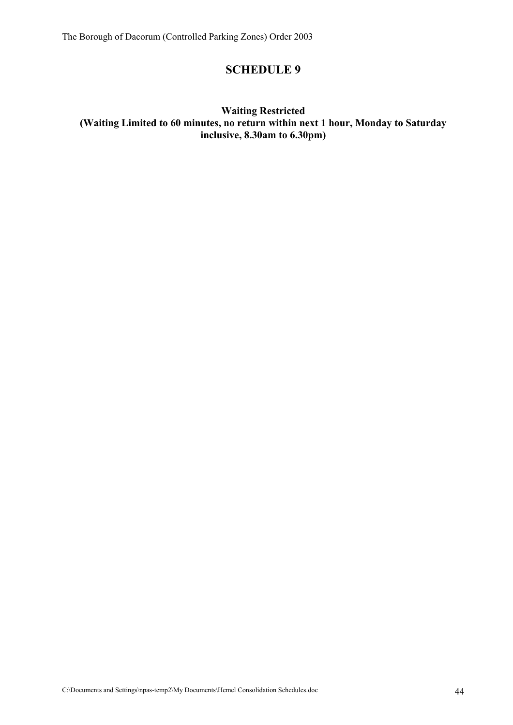#### **Waiting Restricted (Waiting Limited to 60 minutes, no return within next 1 hour, Monday to Saturday inclusive, 8.30am to 6.30pm)**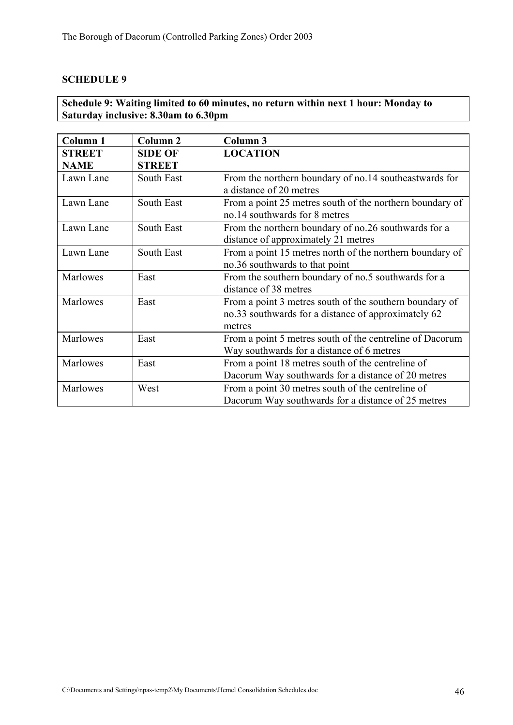### **Schedule 9: Waiting limited to 60 minutes, no return within next 1 hour: Monday to Saturday inclusive: 8.30am to 6.30pm**

| Column <sub>1</sub>          | Column <sub>2</sub>             | Column 3                                                                                                                 |
|------------------------------|---------------------------------|--------------------------------------------------------------------------------------------------------------------------|
| <b>STREET</b><br><b>NAME</b> | <b>SIDE OF</b><br><b>STREET</b> | <b>LOCATION</b>                                                                                                          |
| Lawn Lane                    | South East                      | From the northern boundary of no.14 southeastwards for<br>a distance of 20 metres                                        |
| Lawn Lane                    | South East                      | From a point 25 metres south of the northern boundary of<br>no.14 southwards for 8 metres                                |
| Lawn Lane                    | South East                      | From the northern boundary of no.26 southwards for a<br>distance of approximately 21 metres                              |
| Lawn Lane                    | South East                      | From a point 15 metres north of the northern boundary of<br>no.36 southwards to that point                               |
| Marlowes                     | East                            | From the southern boundary of no.5 southwards for a<br>distance of 38 metres                                             |
| Marlowes                     | East                            | From a point 3 metres south of the southern boundary of<br>no.33 southwards for a distance of approximately 62<br>metres |
| Marlowes                     | East                            | From a point 5 metres south of the centreline of Dacorum<br>Way southwards for a distance of 6 metres                    |
| Marlowes                     | East                            | From a point 18 metres south of the centreline of<br>Dacorum Way southwards for a distance of 20 metres                  |
| Marlowes                     | West                            | From a point 30 metres south of the centreline of<br>Dacorum Way southwards for a distance of 25 metres                  |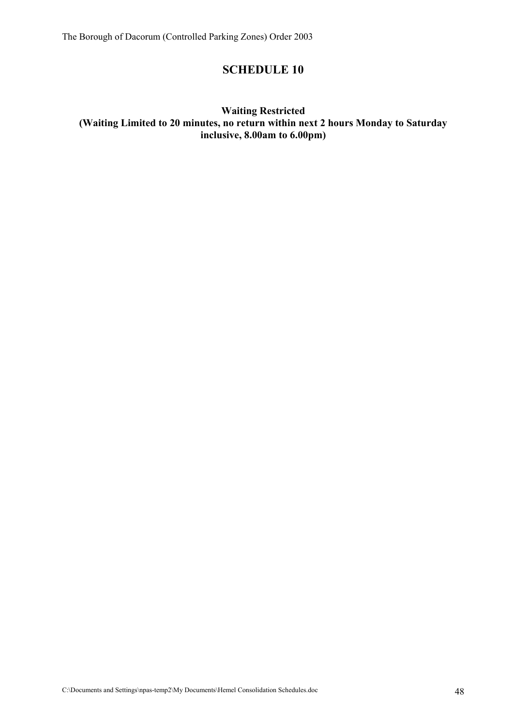#### **Waiting Restricted (Waiting Limited to 20 minutes, no return within next 2 hours Monday to Saturday inclusive, 8.00am to 6.00pm)**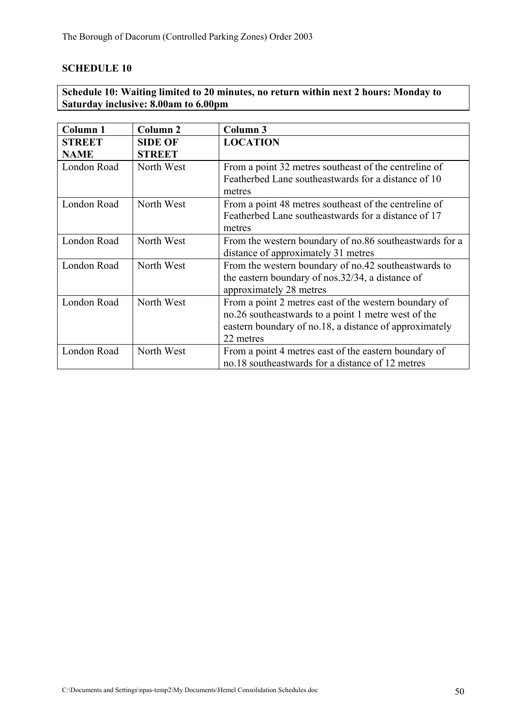### **Schedule 10: Waiting limited to 20 minutes, no return within next 2 hours: Monday to Saturday inclusive: 8.00am to 6.00pm**

| Column 1                     | Column <sub>2</sub>             | Column <sub>3</sub>                                                                                                                                                                 |
|------------------------------|---------------------------------|-------------------------------------------------------------------------------------------------------------------------------------------------------------------------------------|
| <b>STREET</b><br><b>NAME</b> | <b>SIDE OF</b><br><b>STREET</b> | <b>LOCATION</b>                                                                                                                                                                     |
| London Road                  | North West                      | From a point 32 metres southeast of the centreline of<br>Featherbed Lane southeastwards for a distance of 10<br>metres                                                              |
| London Road                  | North West                      | From a point 48 metres southeast of the centreline of<br>Featherbed Lane southeastwards for a distance of 17<br>metres                                                              |
| London Road                  | North West                      | From the western boundary of no.86 southeastwards for a<br>distance of approximately 31 metres                                                                                      |
| London Road                  | North West                      | From the western boundary of no.42 southeastwards to<br>the eastern boundary of nos.32/34, a distance of<br>approximately 28 metres                                                 |
| London Road                  | North West                      | From a point 2 metres east of the western boundary of<br>no.26 southeastwards to a point 1 metre west of the<br>eastern boundary of no.18, a distance of approximately<br>22 metres |
| London Road                  | North West                      | From a point 4 metres east of the eastern boundary of<br>no.18 southeastwards for a distance of 12 metres                                                                           |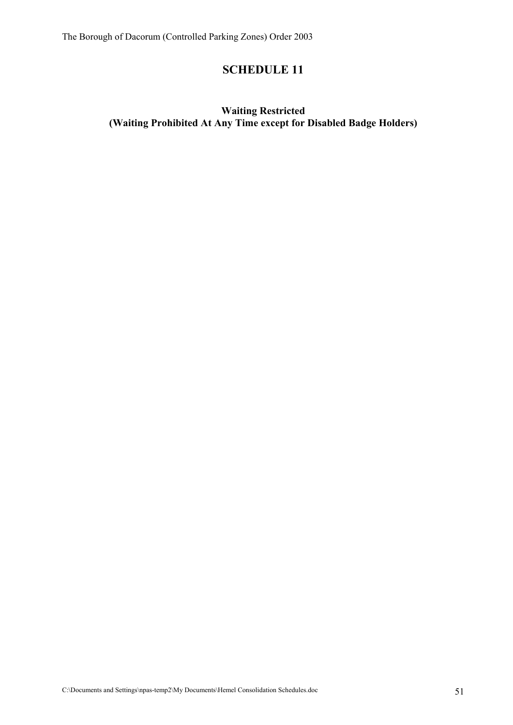### **Waiting Restricted (Waiting Prohibited At Any Time except for Disabled Badge Holders)**